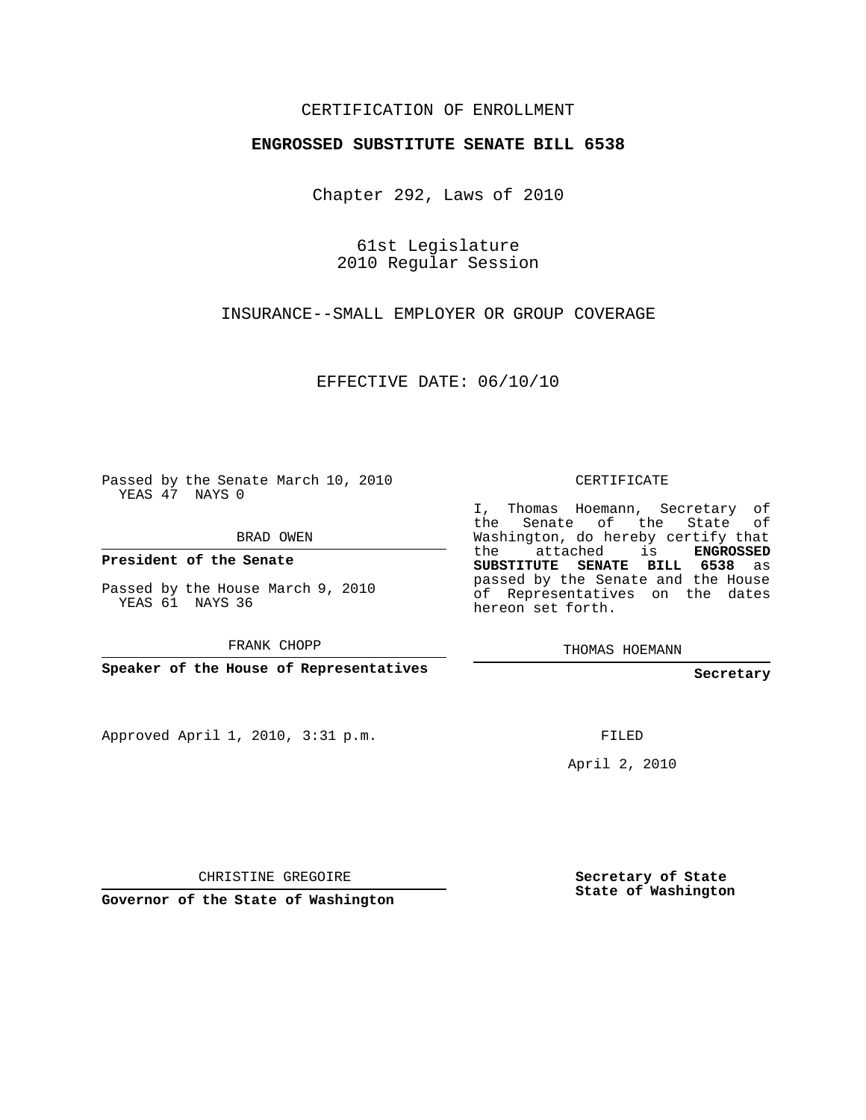## CERTIFICATION OF ENROLLMENT

## **ENGROSSED SUBSTITUTE SENATE BILL 6538**

Chapter 292, Laws of 2010

61st Legislature 2010 Regular Session

INSURANCE--SMALL EMPLOYER OR GROUP COVERAGE

EFFECTIVE DATE: 06/10/10

Passed by the Senate March 10, 2010 YEAS 47 NAYS 0

BRAD OWEN

**President of the Senate**

Passed by the House March 9, 2010 YEAS 61 NAYS 36

FRANK CHOPP

**Speaker of the House of Representatives**

Approved April 1, 2010, 3:31 p.m.

CERTIFICATE

I, Thomas Hoemann, Secretary of the Senate of the State of Washington, do hereby certify that the attached is **ENGROSSED SUBSTITUTE SENATE BILL 6538** as passed by the Senate and the House of Representatives on the dates hereon set forth.

THOMAS HOEMANN

**Secretary**

FILED

April 2, 2010

CHRISTINE GREGOIRE

**Governor of the State of Washington**

**Secretary of State State of Washington**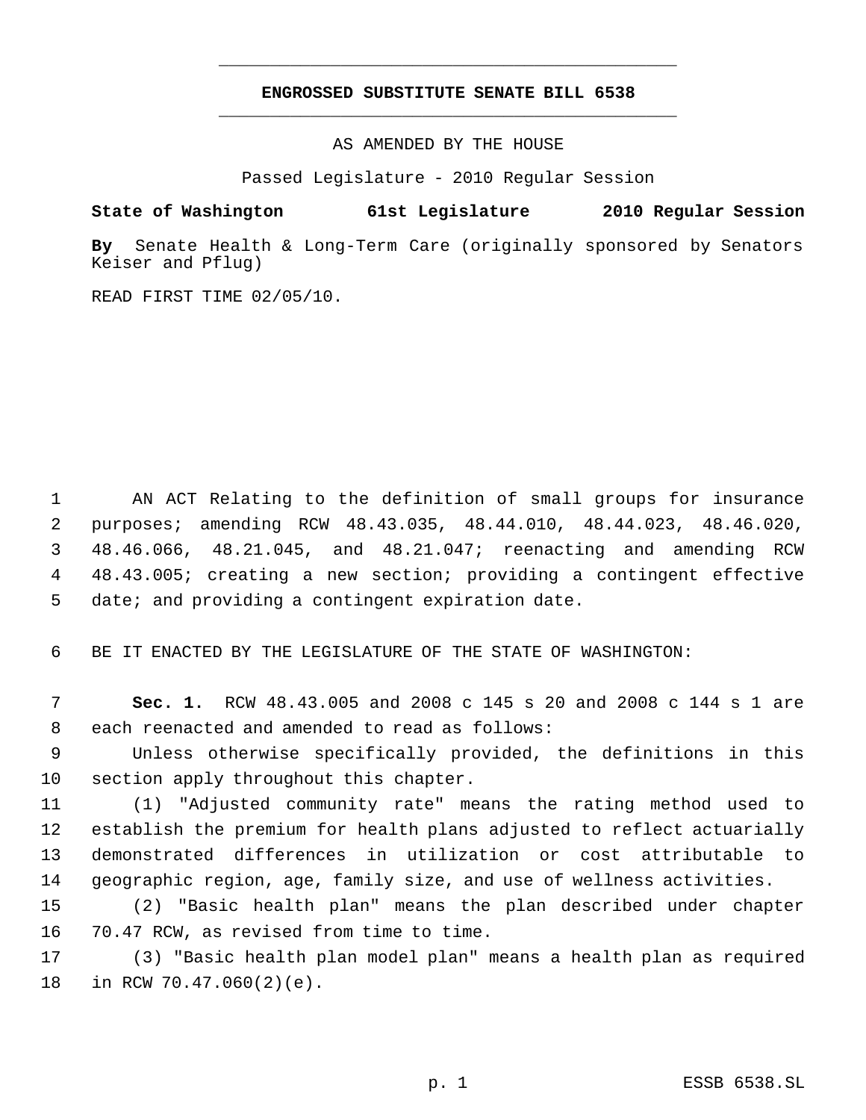## **ENGROSSED SUBSTITUTE SENATE BILL 6538** \_\_\_\_\_\_\_\_\_\_\_\_\_\_\_\_\_\_\_\_\_\_\_\_\_\_\_\_\_\_\_\_\_\_\_\_\_\_\_\_\_\_\_\_\_

\_\_\_\_\_\_\_\_\_\_\_\_\_\_\_\_\_\_\_\_\_\_\_\_\_\_\_\_\_\_\_\_\_\_\_\_\_\_\_\_\_\_\_\_\_

AS AMENDED BY THE HOUSE

Passed Legislature - 2010 Regular Session

## **State of Washington 61st Legislature 2010 Regular Session**

**By** Senate Health & Long-Term Care (originally sponsored by Senators Keiser and Pflug)

READ FIRST TIME 02/05/10.

 AN ACT Relating to the definition of small groups for insurance purposes; amending RCW 48.43.035, 48.44.010, 48.44.023, 48.46.020, 48.46.066, 48.21.045, and 48.21.047; reenacting and amending RCW 48.43.005; creating a new section; providing a contingent effective date; and providing a contingent expiration date.

BE IT ENACTED BY THE LEGISLATURE OF THE STATE OF WASHINGTON:

 **Sec. 1.** RCW 48.43.005 and 2008 c 145 s 20 and 2008 c 144 s 1 are each reenacted and amended to read as follows:

 Unless otherwise specifically provided, the definitions in this section apply throughout this chapter.

 (1) "Adjusted community rate" means the rating method used to establish the premium for health plans adjusted to reflect actuarially demonstrated differences in utilization or cost attributable to geographic region, age, family size, and use of wellness activities.

 (2) "Basic health plan" means the plan described under chapter 70.47 RCW, as revised from time to time.

 (3) "Basic health plan model plan" means a health plan as required in RCW 70.47.060(2)(e).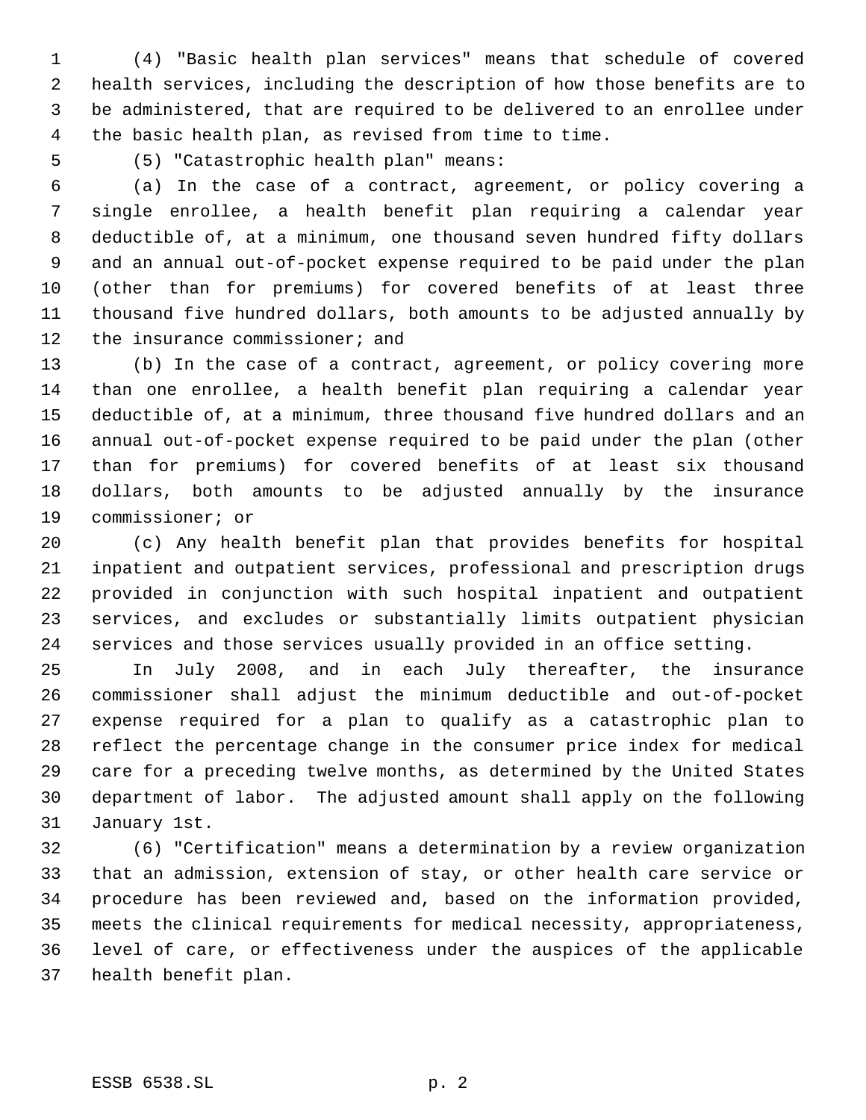(4) "Basic health plan services" means that schedule of covered health services, including the description of how those benefits are to be administered, that are required to be delivered to an enrollee under the basic health plan, as revised from time to time.

(5) "Catastrophic health plan" means:

 (a) In the case of a contract, agreement, or policy covering a single enrollee, a health benefit plan requiring a calendar year deductible of, at a minimum, one thousand seven hundred fifty dollars and an annual out-of-pocket expense required to be paid under the plan (other than for premiums) for covered benefits of at least three thousand five hundred dollars, both amounts to be adjusted annually by 12 the insurance commissioner; and

 (b) In the case of a contract, agreement, or policy covering more than one enrollee, a health benefit plan requiring a calendar year deductible of, at a minimum, three thousand five hundred dollars and an annual out-of-pocket expense required to be paid under the plan (other than for premiums) for covered benefits of at least six thousand dollars, both amounts to be adjusted annually by the insurance commissioner; or

 (c) Any health benefit plan that provides benefits for hospital inpatient and outpatient services, professional and prescription drugs provided in conjunction with such hospital inpatient and outpatient services, and excludes or substantially limits outpatient physician services and those services usually provided in an office setting.

 In July 2008, and in each July thereafter, the insurance commissioner shall adjust the minimum deductible and out-of-pocket expense required for a plan to qualify as a catastrophic plan to reflect the percentage change in the consumer price index for medical care for a preceding twelve months, as determined by the United States department of labor. The adjusted amount shall apply on the following January 1st.

 (6) "Certification" means a determination by a review organization that an admission, extension of stay, or other health care service or procedure has been reviewed and, based on the information provided, meets the clinical requirements for medical necessity, appropriateness, level of care, or effectiveness under the auspices of the applicable health benefit plan.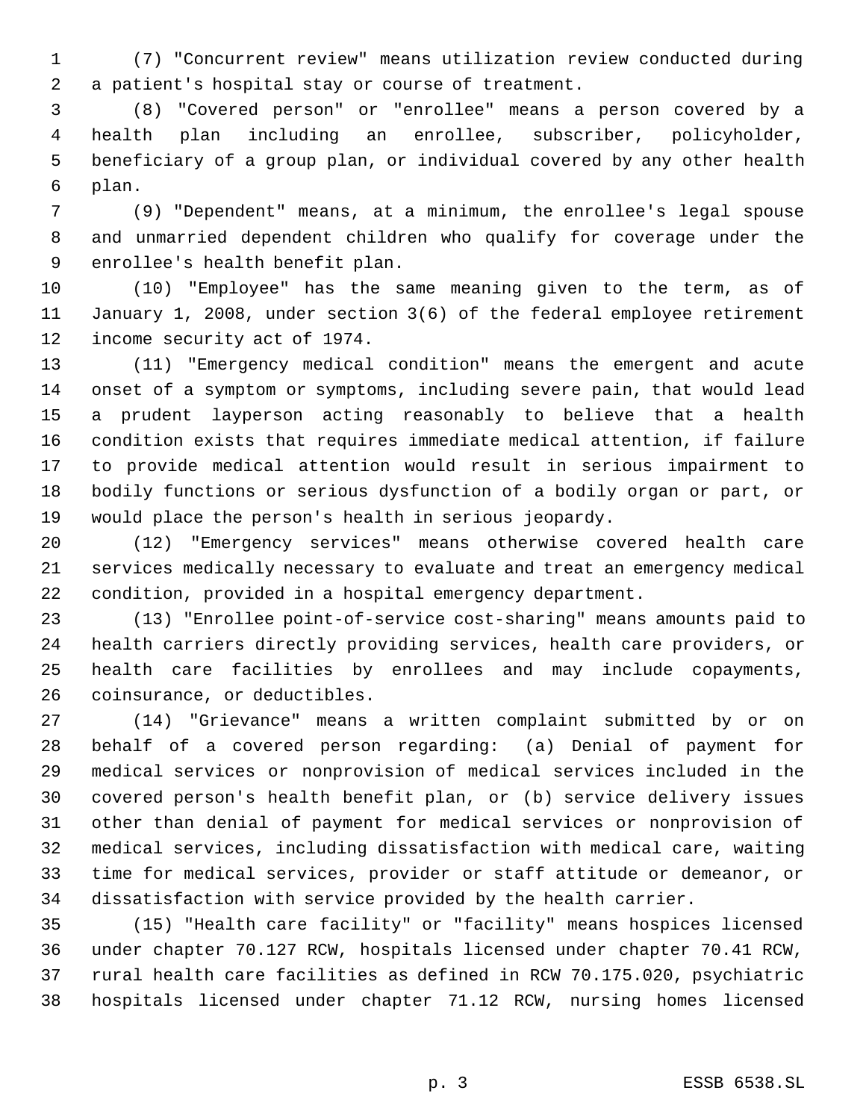(7) "Concurrent review" means utilization review conducted during a patient's hospital stay or course of treatment.

 (8) "Covered person" or "enrollee" means a person covered by a health plan including an enrollee, subscriber, policyholder, beneficiary of a group plan, or individual covered by any other health plan.

 (9) "Dependent" means, at a minimum, the enrollee's legal spouse and unmarried dependent children who qualify for coverage under the enrollee's health benefit plan.

 (10) "Employee" has the same meaning given to the term, as of January 1, 2008, under section 3(6) of the federal employee retirement income security act of 1974.

 (11) "Emergency medical condition" means the emergent and acute onset of a symptom or symptoms, including severe pain, that would lead a prudent layperson acting reasonably to believe that a health condition exists that requires immediate medical attention, if failure to provide medical attention would result in serious impairment to bodily functions or serious dysfunction of a bodily organ or part, or would place the person's health in serious jeopardy.

 (12) "Emergency services" means otherwise covered health care services medically necessary to evaluate and treat an emergency medical condition, provided in a hospital emergency department.

 (13) "Enrollee point-of-service cost-sharing" means amounts paid to health carriers directly providing services, health care providers, or health care facilities by enrollees and may include copayments, coinsurance, or deductibles.

 (14) "Grievance" means a written complaint submitted by or on behalf of a covered person regarding: (a) Denial of payment for medical services or nonprovision of medical services included in the covered person's health benefit plan, or (b) service delivery issues other than denial of payment for medical services or nonprovision of medical services, including dissatisfaction with medical care, waiting time for medical services, provider or staff attitude or demeanor, or dissatisfaction with service provided by the health carrier.

 (15) "Health care facility" or "facility" means hospices licensed under chapter 70.127 RCW, hospitals licensed under chapter 70.41 RCW, rural health care facilities as defined in RCW 70.175.020, psychiatric hospitals licensed under chapter 71.12 RCW, nursing homes licensed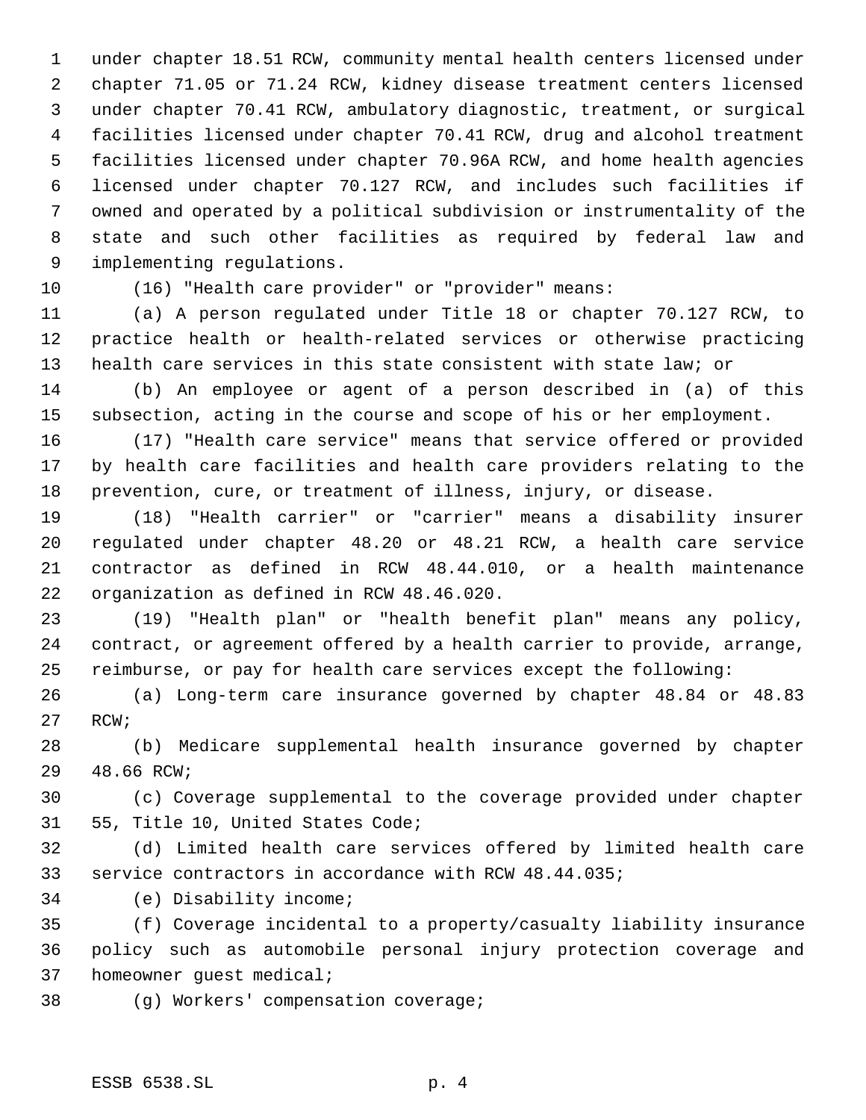under chapter 18.51 RCW, community mental health centers licensed under chapter 71.05 or 71.24 RCW, kidney disease treatment centers licensed under chapter 70.41 RCW, ambulatory diagnostic, treatment, or surgical facilities licensed under chapter 70.41 RCW, drug and alcohol treatment facilities licensed under chapter 70.96A RCW, and home health agencies licensed under chapter 70.127 RCW, and includes such facilities if owned and operated by a political subdivision or instrumentality of the state and such other facilities as required by federal law and implementing regulations.

(16) "Health care provider" or "provider" means:

 (a) A person regulated under Title 18 or chapter 70.127 RCW, to practice health or health-related services or otherwise practicing health care services in this state consistent with state law; or

 (b) An employee or agent of a person described in (a) of this subsection, acting in the course and scope of his or her employment.

 (17) "Health care service" means that service offered or provided by health care facilities and health care providers relating to the prevention, cure, or treatment of illness, injury, or disease.

 (18) "Health carrier" or "carrier" means a disability insurer regulated under chapter 48.20 or 48.21 RCW, a health care service contractor as defined in RCW 48.44.010, or a health maintenance organization as defined in RCW 48.46.020.

 (19) "Health plan" or "health benefit plan" means any policy, contract, or agreement offered by a health carrier to provide, arrange, reimburse, or pay for health care services except the following:

 (a) Long-term care insurance governed by chapter 48.84 or 48.83 RCW;

 (b) Medicare supplemental health insurance governed by chapter 48.66 RCW;

 (c) Coverage supplemental to the coverage provided under chapter 55, Title 10, United States Code;

 (d) Limited health care services offered by limited health care service contractors in accordance with RCW 48.44.035;

(e) Disability income;

 (f) Coverage incidental to a property/casualty liability insurance policy such as automobile personal injury protection coverage and homeowner guest medical;

(g) Workers' compensation coverage;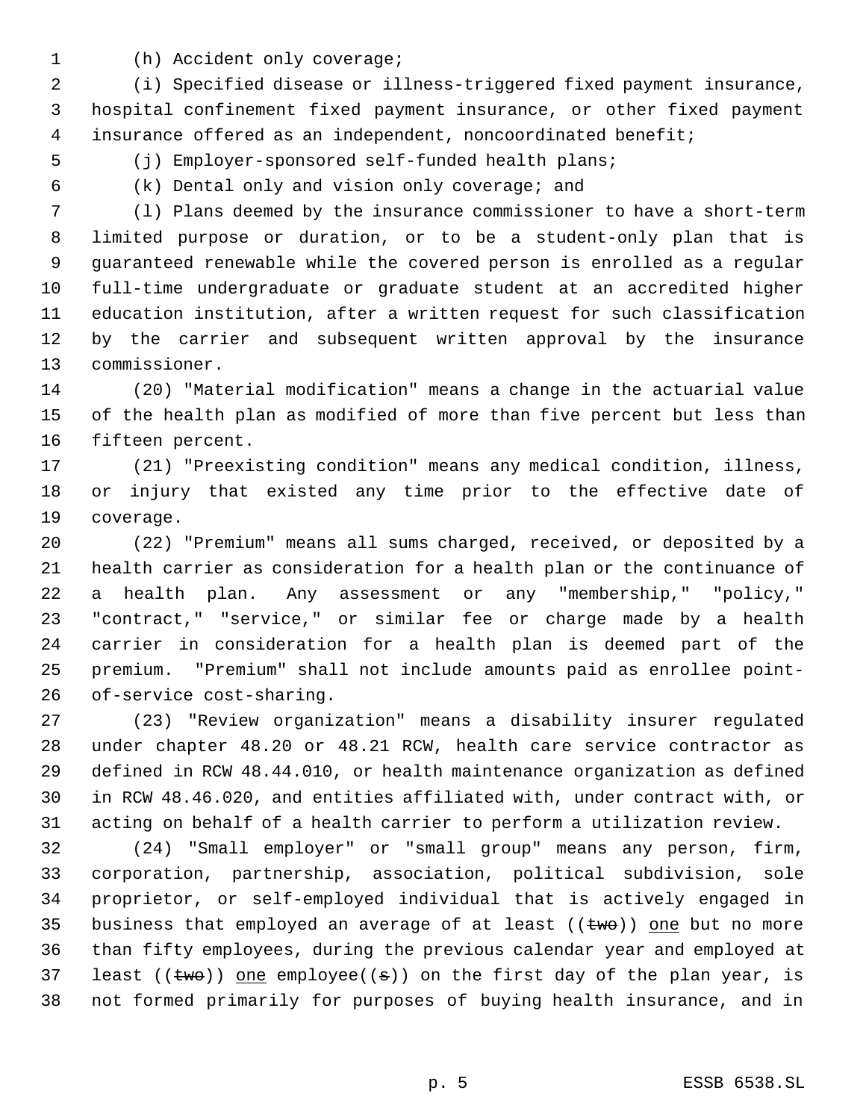- 
- (h) Accident only coverage;

 (i) Specified disease or illness-triggered fixed payment insurance, hospital confinement fixed payment insurance, or other fixed payment 4 insurance offered as an independent, noncoordinated benefit;

(j) Employer-sponsored self-funded health plans;

(k) Dental only and vision only coverage; and

 (l) Plans deemed by the insurance commissioner to have a short-term limited purpose or duration, or to be a student-only plan that is guaranteed renewable while the covered person is enrolled as a regular full-time undergraduate or graduate student at an accredited higher education institution, after a written request for such classification by the carrier and subsequent written approval by the insurance commissioner.

 (20) "Material modification" means a change in the actuarial value of the health plan as modified of more than five percent but less than fifteen percent.

 (21) "Preexisting condition" means any medical condition, illness, or injury that existed any time prior to the effective date of coverage.

 (22) "Premium" means all sums charged, received, or deposited by a health carrier as consideration for a health plan or the continuance of a health plan. Any assessment or any "membership," "policy," "contract," "service," or similar fee or charge made by a health carrier in consideration for a health plan is deemed part of the premium. "Premium" shall not include amounts paid as enrollee point-of-service cost-sharing.

 (23) "Review organization" means a disability insurer regulated under chapter 48.20 or 48.21 RCW, health care service contractor as defined in RCW 48.44.010, or health maintenance organization as defined in RCW 48.46.020, and entities affiliated with, under contract with, or acting on behalf of a health carrier to perform a utilization review.

 (24) "Small employer" or "small group" means any person, firm, corporation, partnership, association, political subdivision, sole proprietor, or self-employed individual that is actively engaged in 35 business that employed an average of at least  $((two))$  one but no more than fifty employees, during the previous calendar year and employed at 37 least (( $t$ wo)) one employee(( $\pm$ )) on the first day of the plan year, is not formed primarily for purposes of buying health insurance, and in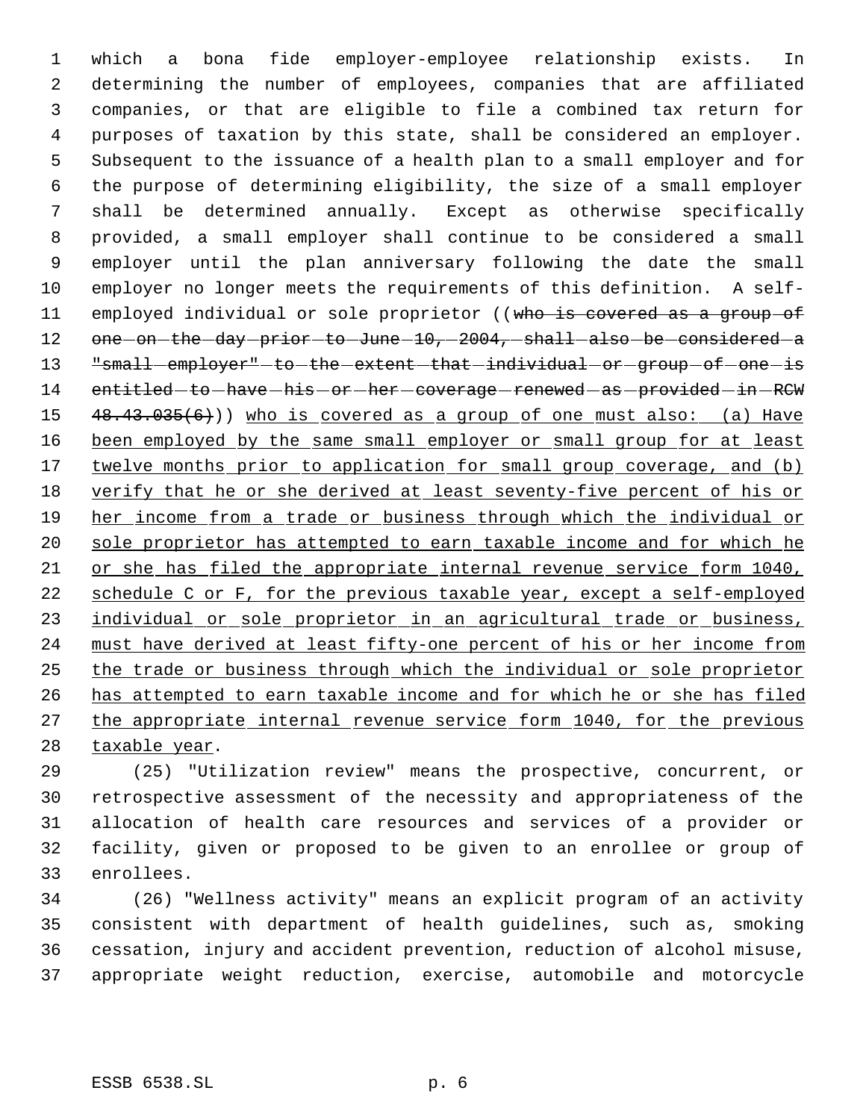which a bona fide employer-employee relationship exists. In determining the number of employees, companies that are affiliated companies, or that are eligible to file a combined tax return for purposes of taxation by this state, shall be considered an employer. Subsequent to the issuance of a health plan to a small employer and for the purpose of determining eligibility, the size of a small employer shall be determined annually. Except as otherwise specifically provided, a small employer shall continue to be considered a small employer until the plan anniversary following the date the small employer no longer meets the requirements of this definition. A self-11 employed individual or sole proprietor ((who is covered as a group of 12 one on the day prior to June 10, 2004, shall also be considered a "small employer" to the extent that individual or group of one is 14 entitled-to-have-his-or-her-coverage-renewed-as-provided-in-RCW 15 48.43.035(6))) who is covered as a group of one must also: (a) Have 16 been employed by the same small employer or small group for at least 17 twelve months prior to application for small group coverage, and (b) 18 verify that he or she derived at least seventy-five percent of his or 19 her income from a trade or business through which the individual or 20 sole proprietor has attempted to earn taxable income and for which he or she has filed the appropriate internal revenue service form 1040, schedule C or F, for the previous taxable year, except a self-employed 23 individual or sole proprietor in an agricultural trade or business, must have derived at least fifty-one percent of his or her income from the trade or business through which the individual or sole proprietor has attempted to earn taxable income and for which he or she has filed 27 the appropriate internal revenue service form 1040, for the previous 28 taxable year.

 (25) "Utilization review" means the prospective, concurrent, or retrospective assessment of the necessity and appropriateness of the allocation of health care resources and services of a provider or facility, given or proposed to be given to an enrollee or group of enrollees.

 (26) "Wellness activity" means an explicit program of an activity consistent with department of health guidelines, such as, smoking cessation, injury and accident prevention, reduction of alcohol misuse, appropriate weight reduction, exercise, automobile and motorcycle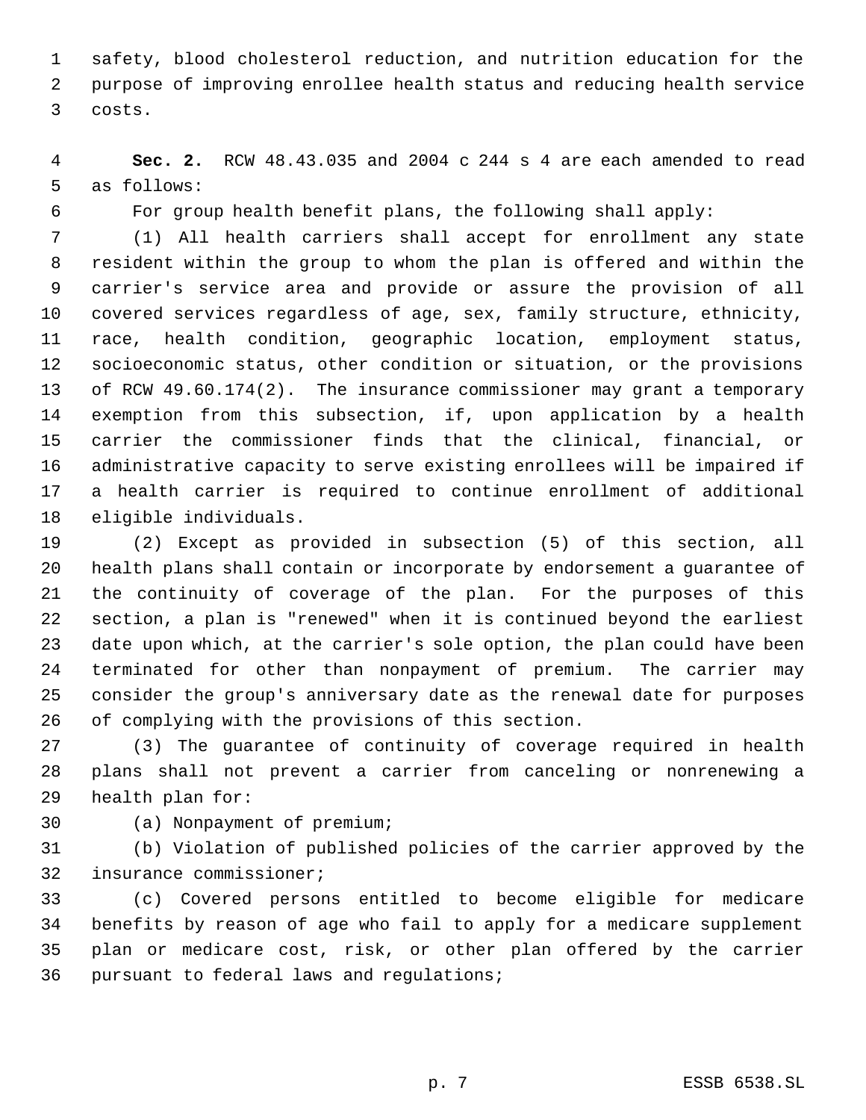safety, blood cholesterol reduction, and nutrition education for the purpose of improving enrollee health status and reducing health service costs.

 **Sec. 2.** RCW 48.43.035 and 2004 c 244 s 4 are each amended to read as follows:

For group health benefit plans, the following shall apply:

 (1) All health carriers shall accept for enrollment any state resident within the group to whom the plan is offered and within the carrier's service area and provide or assure the provision of all covered services regardless of age, sex, family structure, ethnicity, race, health condition, geographic location, employment status, socioeconomic status, other condition or situation, or the provisions of RCW 49.60.174(2). The insurance commissioner may grant a temporary exemption from this subsection, if, upon application by a health carrier the commissioner finds that the clinical, financial, or administrative capacity to serve existing enrollees will be impaired if a health carrier is required to continue enrollment of additional eligible individuals.

 (2) Except as provided in subsection (5) of this section, all health plans shall contain or incorporate by endorsement a guarantee of the continuity of coverage of the plan. For the purposes of this section, a plan is "renewed" when it is continued beyond the earliest date upon which, at the carrier's sole option, the plan could have been terminated for other than nonpayment of premium. The carrier may consider the group's anniversary date as the renewal date for purposes of complying with the provisions of this section.

 (3) The guarantee of continuity of coverage required in health plans shall not prevent a carrier from canceling or nonrenewing a health plan for:

(a) Nonpayment of premium;

 (b) Violation of published policies of the carrier approved by the insurance commissioner;

 (c) Covered persons entitled to become eligible for medicare benefits by reason of age who fail to apply for a medicare supplement plan or medicare cost, risk, or other plan offered by the carrier pursuant to federal laws and regulations;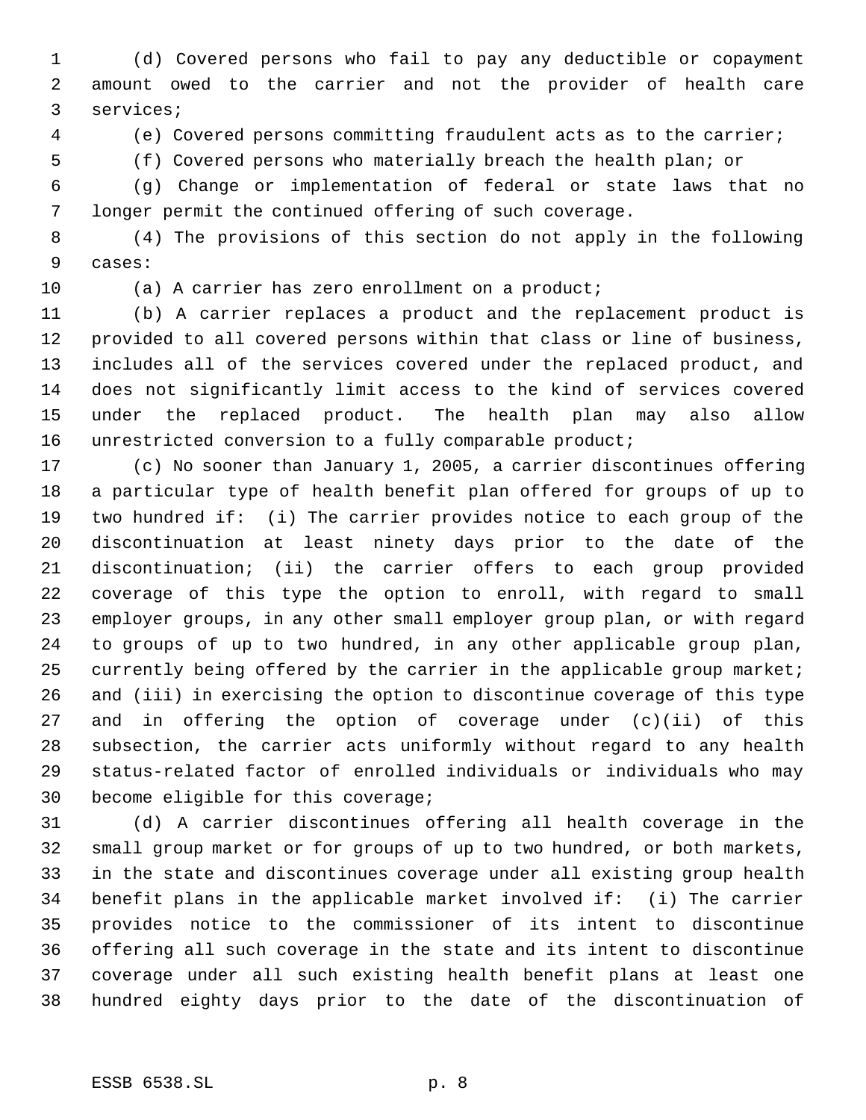(d) Covered persons who fail to pay any deductible or copayment amount owed to the carrier and not the provider of health care services;

(e) Covered persons committing fraudulent acts as to the carrier;

(f) Covered persons who materially breach the health plan; or

 (g) Change or implementation of federal or state laws that no longer permit the continued offering of such coverage.

 (4) The provisions of this section do not apply in the following cases:

(a) A carrier has zero enrollment on a product;

 (b) A carrier replaces a product and the replacement product is provided to all covered persons within that class or line of business, includes all of the services covered under the replaced product, and does not significantly limit access to the kind of services covered under the replaced product. The health plan may also allow unrestricted conversion to a fully comparable product;

 (c) No sooner than January 1, 2005, a carrier discontinues offering a particular type of health benefit plan offered for groups of up to two hundred if: (i) The carrier provides notice to each group of the discontinuation at least ninety days prior to the date of the discontinuation; (ii) the carrier offers to each group provided coverage of this type the option to enroll, with regard to small employer groups, in any other small employer group plan, or with regard to groups of up to two hundred, in any other applicable group plan, 25 currently being offered by the carrier in the applicable group market; and (iii) in exercising the option to discontinue coverage of this type and in offering the option of coverage under (c)(ii) of this subsection, the carrier acts uniformly without regard to any health status-related factor of enrolled individuals or individuals who may become eligible for this coverage;

 (d) A carrier discontinues offering all health coverage in the small group market or for groups of up to two hundred, or both markets, in the state and discontinues coverage under all existing group health benefit plans in the applicable market involved if: (i) The carrier provides notice to the commissioner of its intent to discontinue offering all such coverage in the state and its intent to discontinue coverage under all such existing health benefit plans at least one hundred eighty days prior to the date of the discontinuation of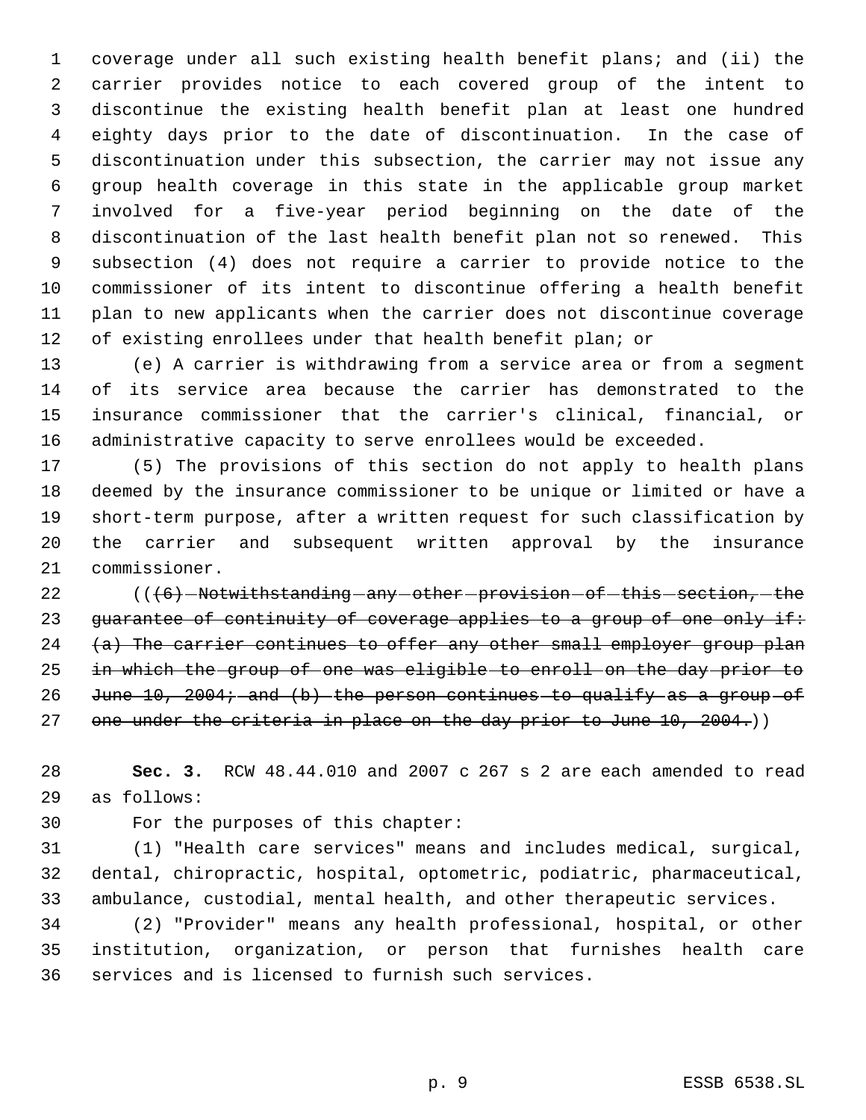coverage under all such existing health benefit plans; and (ii) the carrier provides notice to each covered group of the intent to discontinue the existing health benefit plan at least one hundred eighty days prior to the date of discontinuation. In the case of discontinuation under this subsection, the carrier may not issue any group health coverage in this state in the applicable group market involved for a five-year period beginning on the date of the discontinuation of the last health benefit plan not so renewed. This subsection (4) does not require a carrier to provide notice to the commissioner of its intent to discontinue offering a health benefit plan to new applicants when the carrier does not discontinue coverage of existing enrollees under that health benefit plan; or

 (e) A carrier is withdrawing from a service area or from a segment of its service area because the carrier has demonstrated to the insurance commissioner that the carrier's clinical, financial, or administrative capacity to serve enrollees would be exceeded.

 (5) The provisions of this section do not apply to health plans deemed by the insurance commissioner to be unique or limited or have a short-term purpose, after a written request for such classification by the carrier and subsequent written approval by the insurance commissioner.

22 (((6) -Notwithstanding -any -other -provision -of -this -section, -the 23 guarantee of continuity of coverage applies to a group of one only if: 24 (a) The carrier continues to offer any other small employer group plan in which the group of one was eligible to enroll on the day prior to 26 June 10, 2004; and (b) the person continues to qualify as a group of 27 one under the criteria in place on the day prior to June 10, 2004.))

 **Sec. 3.** RCW 48.44.010 and 2007 c 267 s 2 are each amended to read as follows:

For the purposes of this chapter:

 (1) "Health care services" means and includes medical, surgical, dental, chiropractic, hospital, optometric, podiatric, pharmaceutical, ambulance, custodial, mental health, and other therapeutic services.

 (2) "Provider" means any health professional, hospital, or other institution, organization, or person that furnishes health care services and is licensed to furnish such services.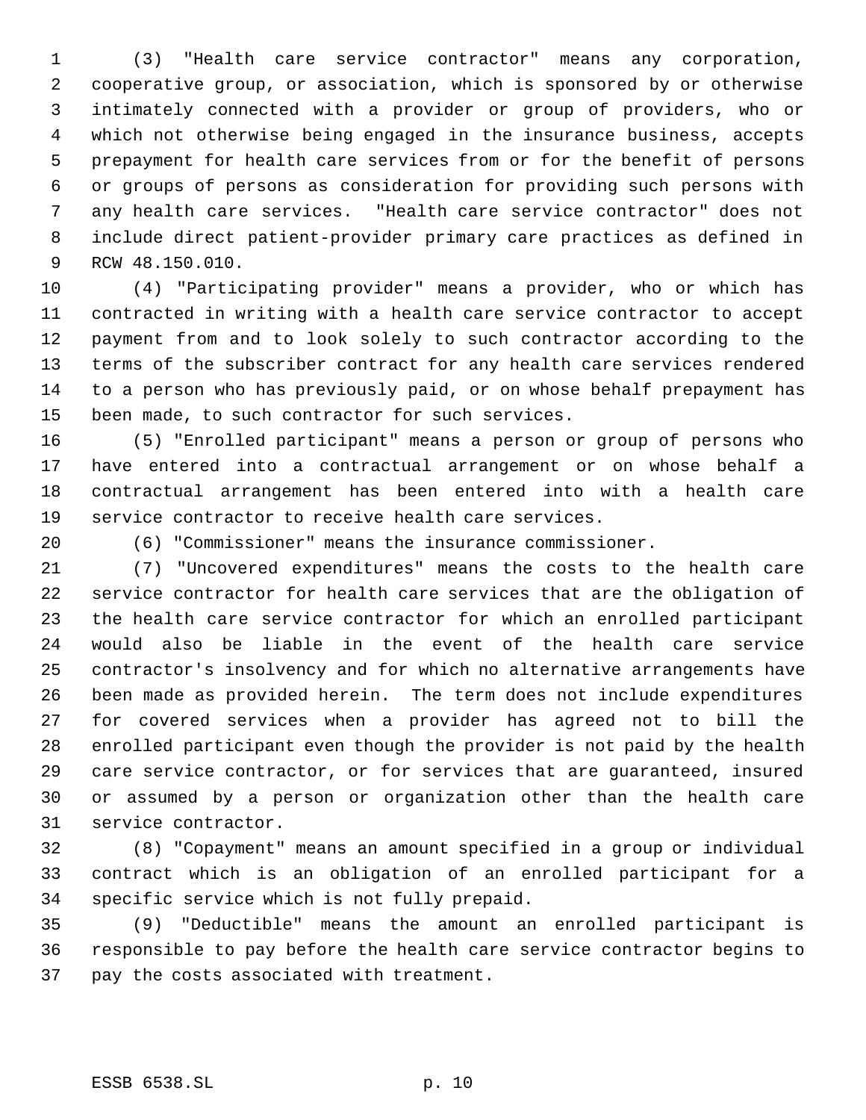(3) "Health care service contractor" means any corporation, cooperative group, or association, which is sponsored by or otherwise intimately connected with a provider or group of providers, who or which not otherwise being engaged in the insurance business, accepts prepayment for health care services from or for the benefit of persons or groups of persons as consideration for providing such persons with any health care services. "Health care service contractor" does not include direct patient-provider primary care practices as defined in RCW 48.150.010.

 (4) "Participating provider" means a provider, who or which has contracted in writing with a health care service contractor to accept payment from and to look solely to such contractor according to the terms of the subscriber contract for any health care services rendered to a person who has previously paid, or on whose behalf prepayment has been made, to such contractor for such services.

 (5) "Enrolled participant" means a person or group of persons who have entered into a contractual arrangement or on whose behalf a contractual arrangement has been entered into with a health care service contractor to receive health care services.

(6) "Commissioner" means the insurance commissioner.

 (7) "Uncovered expenditures" means the costs to the health care service contractor for health care services that are the obligation of the health care service contractor for which an enrolled participant would also be liable in the event of the health care service contractor's insolvency and for which no alternative arrangements have been made as provided herein. The term does not include expenditures for covered services when a provider has agreed not to bill the enrolled participant even though the provider is not paid by the health care service contractor, or for services that are guaranteed, insured or assumed by a person or organization other than the health care service contractor.

 (8) "Copayment" means an amount specified in a group or individual contract which is an obligation of an enrolled participant for a specific service which is not fully prepaid.

 (9) "Deductible" means the amount an enrolled participant is responsible to pay before the health care service contractor begins to pay the costs associated with treatment.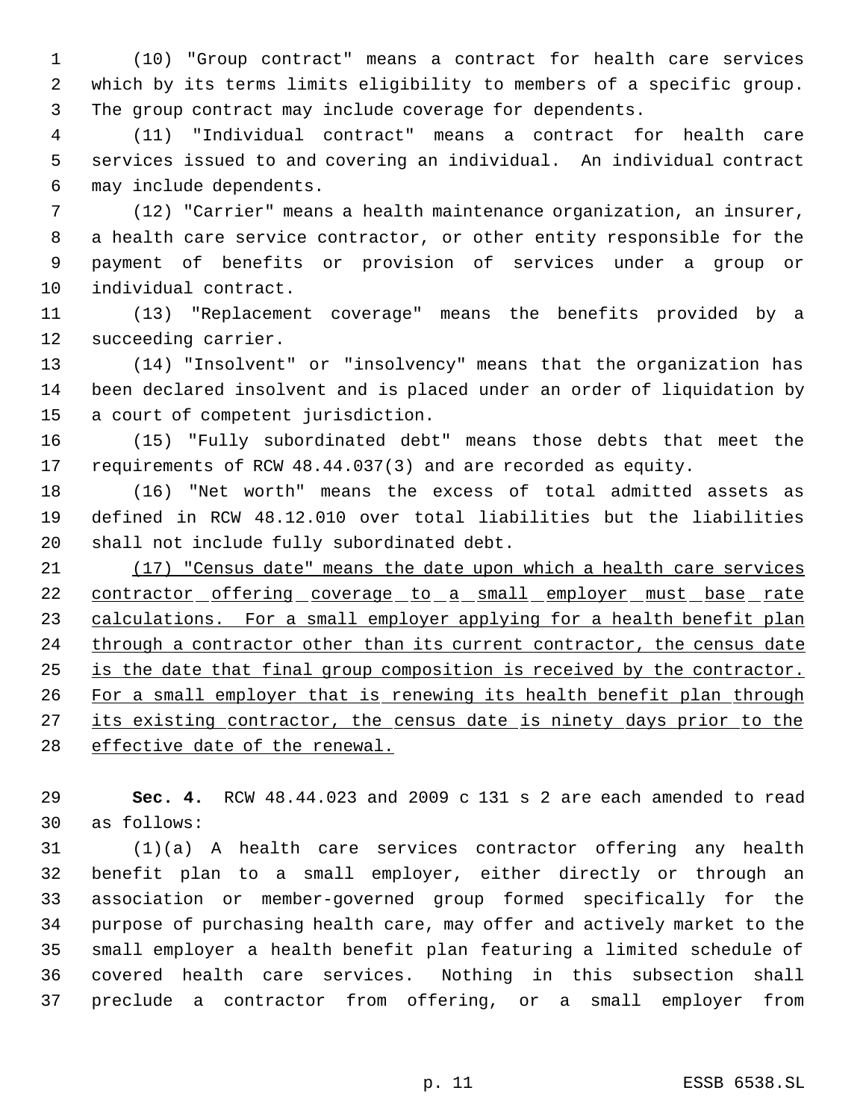(10) "Group contract" means a contract for health care services which by its terms limits eligibility to members of a specific group. The group contract may include coverage for dependents.

 (11) "Individual contract" means a contract for health care services issued to and covering an individual. An individual contract may include dependents.

 (12) "Carrier" means a health maintenance organization, an insurer, a health care service contractor, or other entity responsible for the payment of benefits or provision of services under a group or individual contract.

 (13) "Replacement coverage" means the benefits provided by a succeeding carrier.

 (14) "Insolvent" or "insolvency" means that the organization has been declared insolvent and is placed under an order of liquidation by a court of competent jurisdiction.

 (15) "Fully subordinated debt" means those debts that meet the requirements of RCW 48.44.037(3) and are recorded as equity.

 (16) "Net worth" means the excess of total admitted assets as defined in RCW 48.12.010 over total liabilities but the liabilities shall not include fully subordinated debt.

 (17) "Census date" means the date upon which a health care services 22 contractor offering coverage to a small employer must base rate 23 calculations. For a small employer applying for a health benefit plan 24 through a contractor other than its current contractor, the census date is the date that final group composition is received by the contractor. 26 For a small employer that is renewing its health benefit plan through 27 its existing contractor, the census date is ninety days prior to the 28 effective date of the renewal.

 **Sec. 4.** RCW 48.44.023 and 2009 c 131 s 2 are each amended to read as follows:

 (1)(a) A health care services contractor offering any health benefit plan to a small employer, either directly or through an association or member-governed group formed specifically for the purpose of purchasing health care, may offer and actively market to the small employer a health benefit plan featuring a limited schedule of covered health care services. Nothing in this subsection shall preclude a contractor from offering, or a small employer from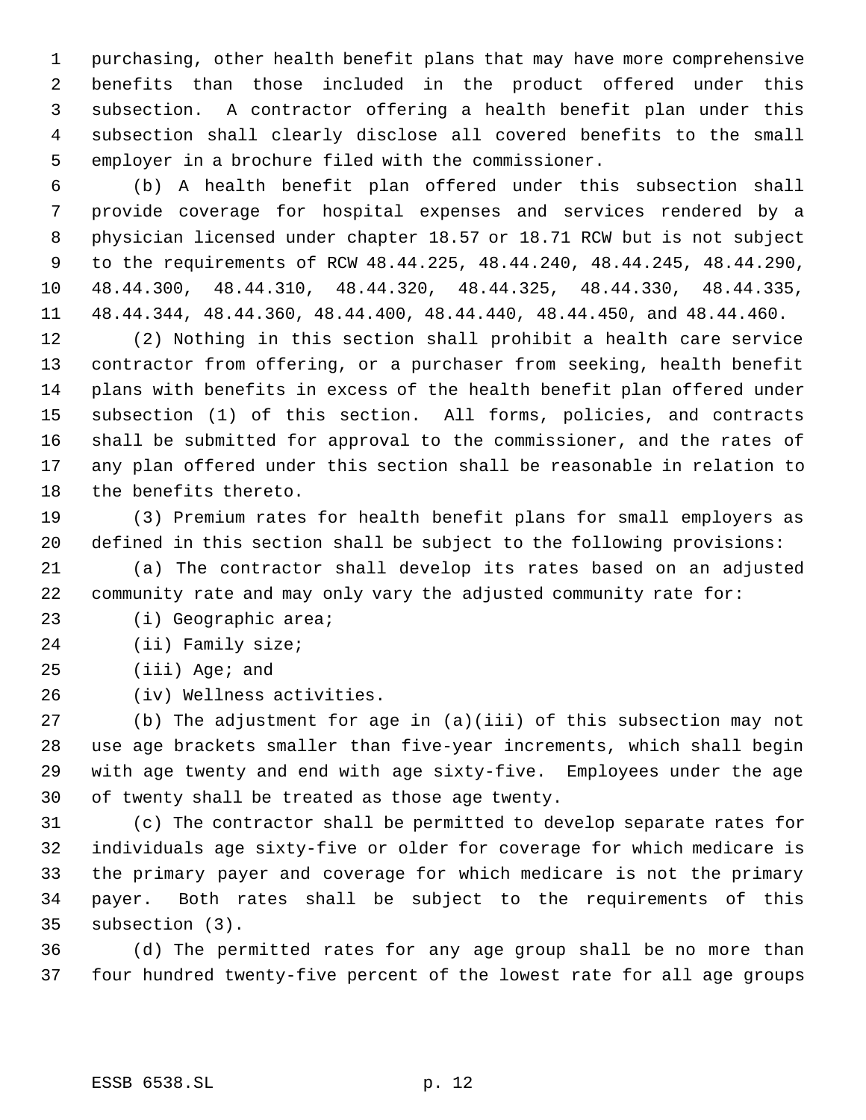purchasing, other health benefit plans that may have more comprehensive benefits than those included in the product offered under this subsection. A contractor offering a health benefit plan under this subsection shall clearly disclose all covered benefits to the small employer in a brochure filed with the commissioner.

 (b) A health benefit plan offered under this subsection shall provide coverage for hospital expenses and services rendered by a physician licensed under chapter 18.57 or 18.71 RCW but is not subject to the requirements of RCW 48.44.225, 48.44.240, 48.44.245, 48.44.290, 48.44.300, 48.44.310, 48.44.320, 48.44.325, 48.44.330, 48.44.335, 48.44.344, 48.44.360, 48.44.400, 48.44.440, 48.44.450, and 48.44.460.

 (2) Nothing in this section shall prohibit a health care service contractor from offering, or a purchaser from seeking, health benefit plans with benefits in excess of the health benefit plan offered under subsection (1) of this section. All forms, policies, and contracts shall be submitted for approval to the commissioner, and the rates of any plan offered under this section shall be reasonable in relation to the benefits thereto.

 (3) Premium rates for health benefit plans for small employers as defined in this section shall be subject to the following provisions:

 (a) The contractor shall develop its rates based on an adjusted community rate and may only vary the adjusted community rate for:

(i) Geographic area;

(ii) Family size;

(iii) Age; and

(iv) Wellness activities.

 (b) The adjustment for age in (a)(iii) of this subsection may not use age brackets smaller than five-year increments, which shall begin with age twenty and end with age sixty-five. Employees under the age of twenty shall be treated as those age twenty.

 (c) The contractor shall be permitted to develop separate rates for individuals age sixty-five or older for coverage for which medicare is the primary payer and coverage for which medicare is not the primary payer. Both rates shall be subject to the requirements of this subsection (3).

 (d) The permitted rates for any age group shall be no more than four hundred twenty-five percent of the lowest rate for all age groups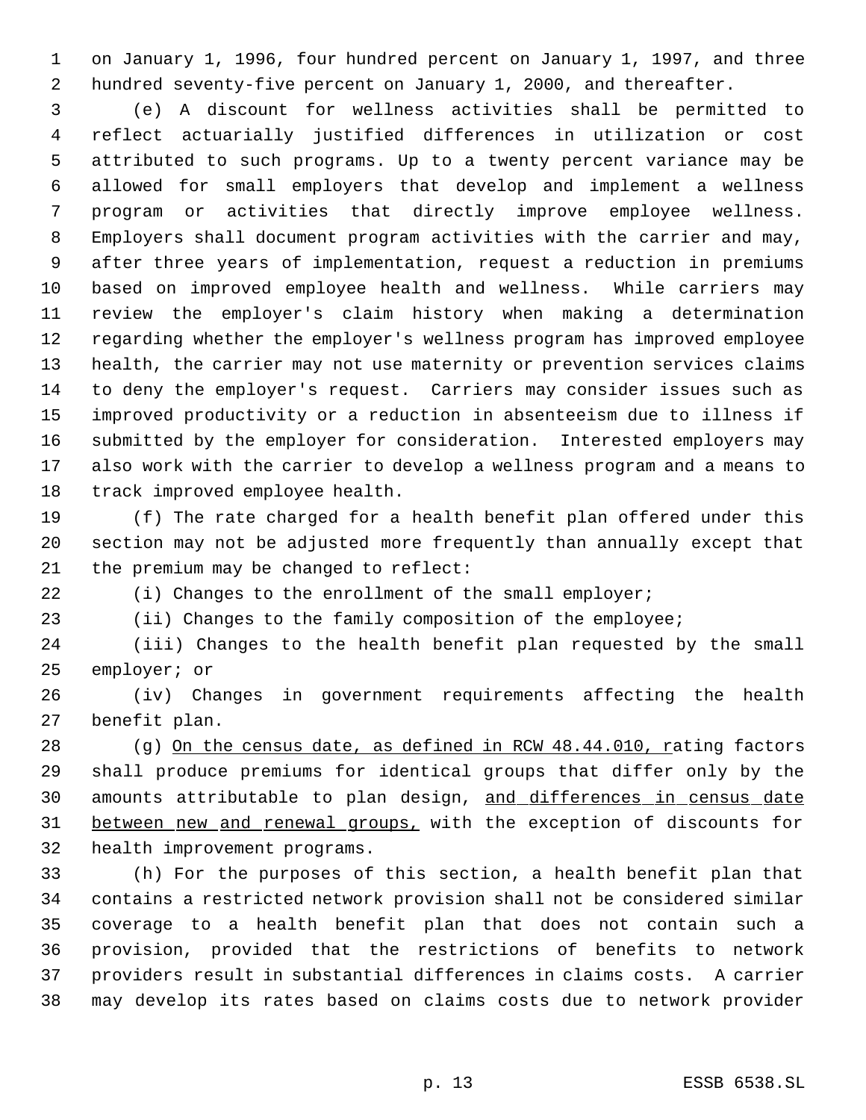on January 1, 1996, four hundred percent on January 1, 1997, and three hundred seventy-five percent on January 1, 2000, and thereafter.

 (e) A discount for wellness activities shall be permitted to reflect actuarially justified differences in utilization or cost attributed to such programs. Up to a twenty percent variance may be allowed for small employers that develop and implement a wellness program or activities that directly improve employee wellness. Employers shall document program activities with the carrier and may, after three years of implementation, request a reduction in premiums based on improved employee health and wellness. While carriers may review the employer's claim history when making a determination regarding whether the employer's wellness program has improved employee health, the carrier may not use maternity or prevention services claims to deny the employer's request. Carriers may consider issues such as improved productivity or a reduction in absenteeism due to illness if submitted by the employer for consideration. Interested employers may also work with the carrier to develop a wellness program and a means to track improved employee health.

 (f) The rate charged for a health benefit plan offered under this section may not be adjusted more frequently than annually except that the premium may be changed to reflect:

(i) Changes to the enrollment of the small employer;

(ii) Changes to the family composition of the employee;

 (iii) Changes to the health benefit plan requested by the small employer; or

 (iv) Changes in government requirements affecting the health benefit plan.

28 (g) On the census date, as defined in RCW 48.44.010, rating factors shall produce premiums for identical groups that differ only by the 30 amounts attributable to plan design, and differences in census date between new and renewal groups, with the exception of discounts for health improvement programs.

 (h) For the purposes of this section, a health benefit plan that contains a restricted network provision shall not be considered similar coverage to a health benefit plan that does not contain such a provision, provided that the restrictions of benefits to network providers result in substantial differences in claims costs. A carrier may develop its rates based on claims costs due to network provider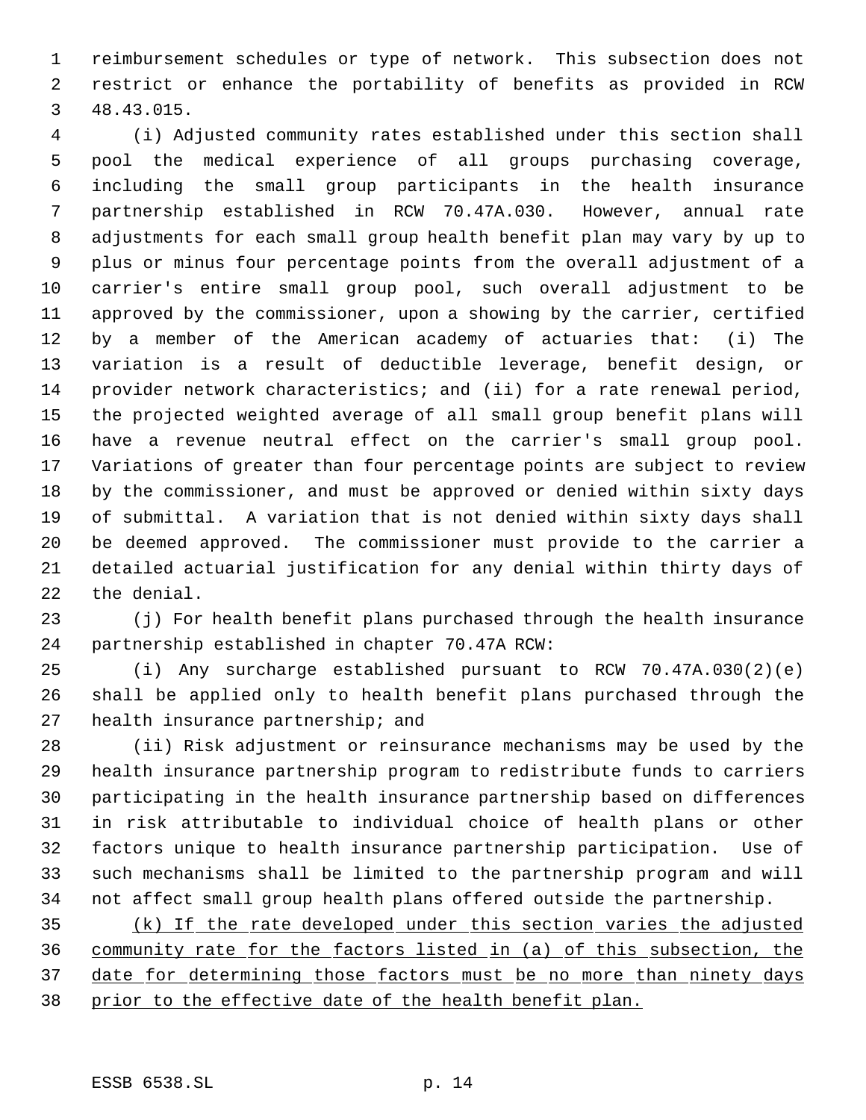reimbursement schedules or type of network. This subsection does not restrict or enhance the portability of benefits as provided in RCW 48.43.015.

 (i) Adjusted community rates established under this section shall pool the medical experience of all groups purchasing coverage, including the small group participants in the health insurance partnership established in RCW 70.47A.030. However, annual rate adjustments for each small group health benefit plan may vary by up to plus or minus four percentage points from the overall adjustment of a carrier's entire small group pool, such overall adjustment to be approved by the commissioner, upon a showing by the carrier, certified by a member of the American academy of actuaries that: (i) The variation is a result of deductible leverage, benefit design, or provider network characteristics; and (ii) for a rate renewal period, the projected weighted average of all small group benefit plans will have a revenue neutral effect on the carrier's small group pool. Variations of greater than four percentage points are subject to review by the commissioner, and must be approved or denied within sixty days of submittal. A variation that is not denied within sixty days shall be deemed approved. The commissioner must provide to the carrier a detailed actuarial justification for any denial within thirty days of the denial.

 (j) For health benefit plans purchased through the health insurance partnership established in chapter 70.47A RCW:

 (i) Any surcharge established pursuant to RCW 70.47A.030(2)(e) shall be applied only to health benefit plans purchased through the health insurance partnership; and

 (ii) Risk adjustment or reinsurance mechanisms may be used by the health insurance partnership program to redistribute funds to carriers participating in the health insurance partnership based on differences in risk attributable to individual choice of health plans or other factors unique to health insurance partnership participation. Use of such mechanisms shall be limited to the partnership program and will not affect small group health plans offered outside the partnership.

 (k) If the rate developed under this section varies the adjusted community rate for the factors listed in (a) of this subsection, the 37 date for determining those factors must be no more than ninety days prior to the effective date of the health benefit plan.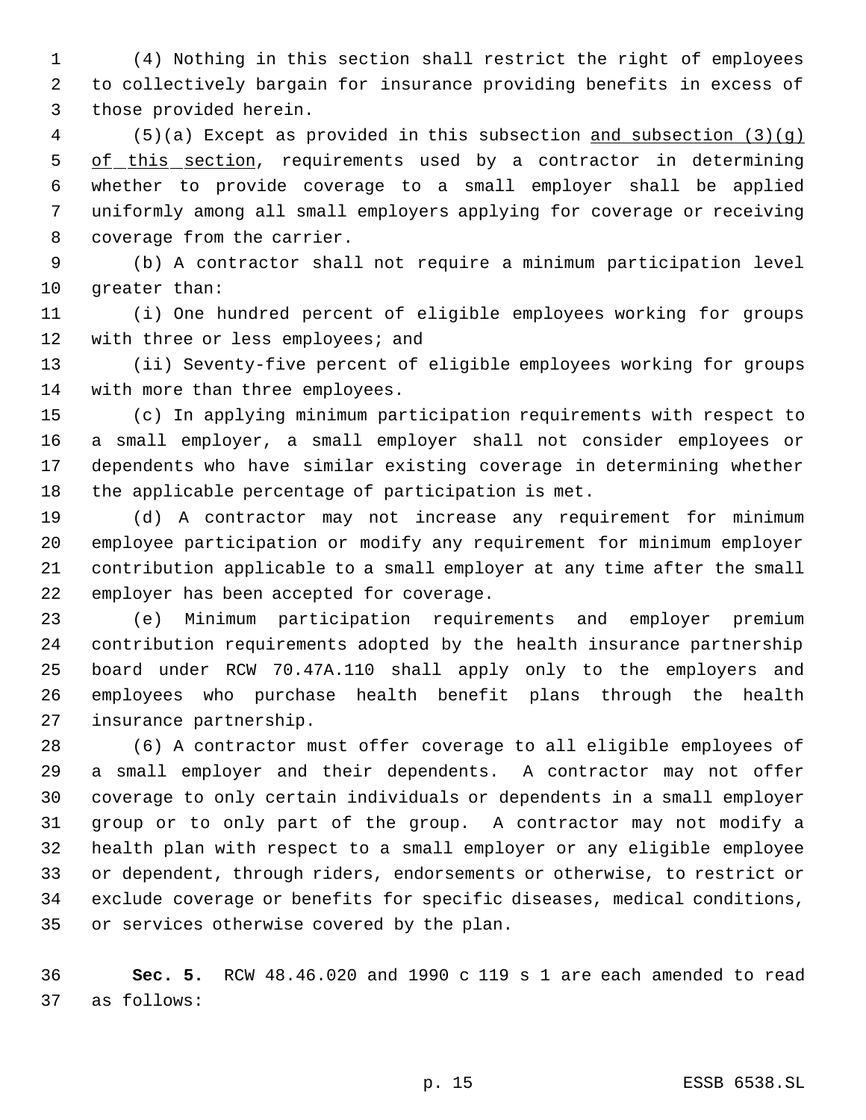(4) Nothing in this section shall restrict the right of employees to collectively bargain for insurance providing benefits in excess of those provided herein.

 (5)(a) Except as provided in this subsection and subsection (3)(g) 5 of this section, requirements used by a contractor in determining whether to provide coverage to a small employer shall be applied uniformly among all small employers applying for coverage or receiving coverage from the carrier.

 (b) A contractor shall not require a minimum participation level greater than:

 (i) One hundred percent of eligible employees working for groups 12 with three or less employees; and

 (ii) Seventy-five percent of eligible employees working for groups with more than three employees.

 (c) In applying minimum participation requirements with respect to a small employer, a small employer shall not consider employees or dependents who have similar existing coverage in determining whether the applicable percentage of participation is met.

 (d) A contractor may not increase any requirement for minimum employee participation or modify any requirement for minimum employer contribution applicable to a small employer at any time after the small employer has been accepted for coverage.

 (e) Minimum participation requirements and employer premium contribution requirements adopted by the health insurance partnership board under RCW 70.47A.110 shall apply only to the employers and employees who purchase health benefit plans through the health insurance partnership.

 (6) A contractor must offer coverage to all eligible employees of a small employer and their dependents. A contractor may not offer coverage to only certain individuals or dependents in a small employer group or to only part of the group. A contractor may not modify a health plan with respect to a small employer or any eligible employee or dependent, through riders, endorsements or otherwise, to restrict or exclude coverage or benefits for specific diseases, medical conditions, or services otherwise covered by the plan.

 **Sec. 5.** RCW 48.46.020 and 1990 c 119 s 1 are each amended to read as follows: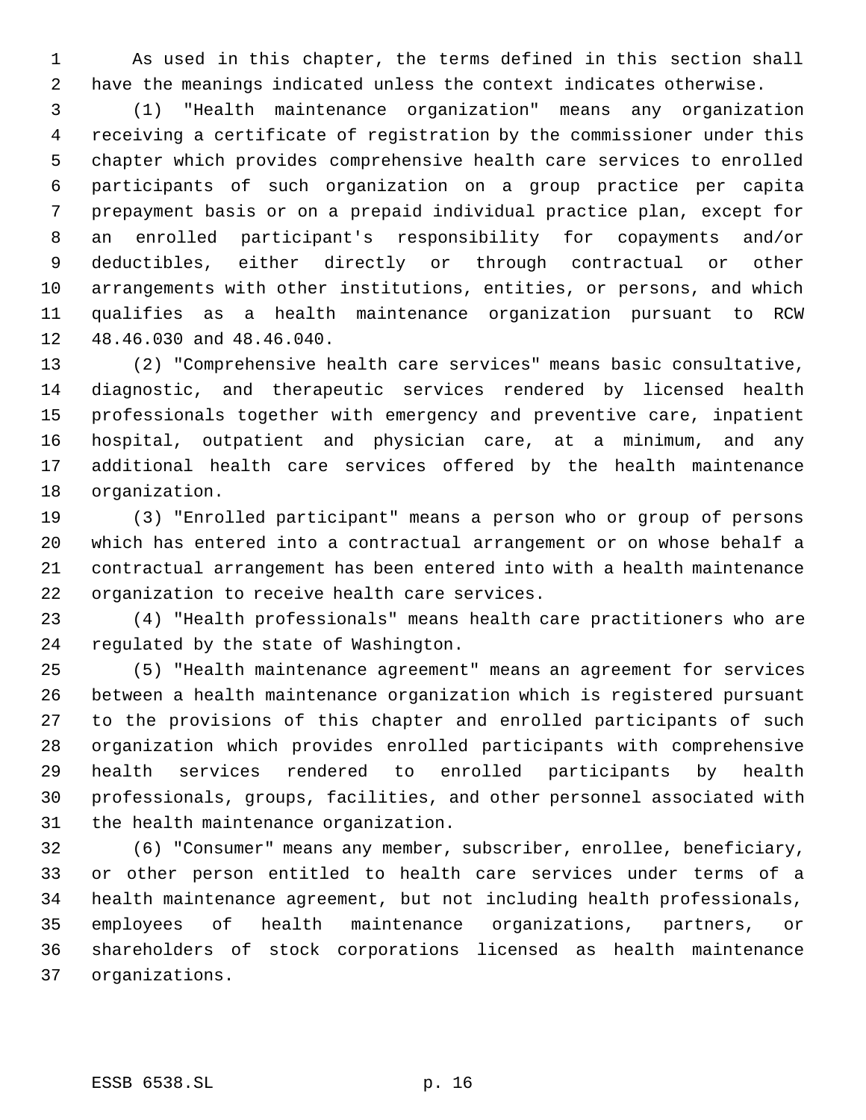As used in this chapter, the terms defined in this section shall have the meanings indicated unless the context indicates otherwise.

 (1) "Health maintenance organization" means any organization receiving a certificate of registration by the commissioner under this chapter which provides comprehensive health care services to enrolled participants of such organization on a group practice per capita prepayment basis or on a prepaid individual practice plan, except for an enrolled participant's responsibility for copayments and/or deductibles, either directly or through contractual or other arrangements with other institutions, entities, or persons, and which qualifies as a health maintenance organization pursuant to RCW 48.46.030 and 48.46.040.

 (2) "Comprehensive health care services" means basic consultative, diagnostic, and therapeutic services rendered by licensed health professionals together with emergency and preventive care, inpatient hospital, outpatient and physician care, at a minimum, and any additional health care services offered by the health maintenance organization.

 (3) "Enrolled participant" means a person who or group of persons which has entered into a contractual arrangement or on whose behalf a contractual arrangement has been entered into with a health maintenance organization to receive health care services.

 (4) "Health professionals" means health care practitioners who are regulated by the state of Washington.

 (5) "Health maintenance agreement" means an agreement for services between a health maintenance organization which is registered pursuant to the provisions of this chapter and enrolled participants of such organization which provides enrolled participants with comprehensive health services rendered to enrolled participants by health professionals, groups, facilities, and other personnel associated with the health maintenance organization.

 (6) "Consumer" means any member, subscriber, enrollee, beneficiary, or other person entitled to health care services under terms of a health maintenance agreement, but not including health professionals, employees of health maintenance organizations, partners, or shareholders of stock corporations licensed as health maintenance organizations.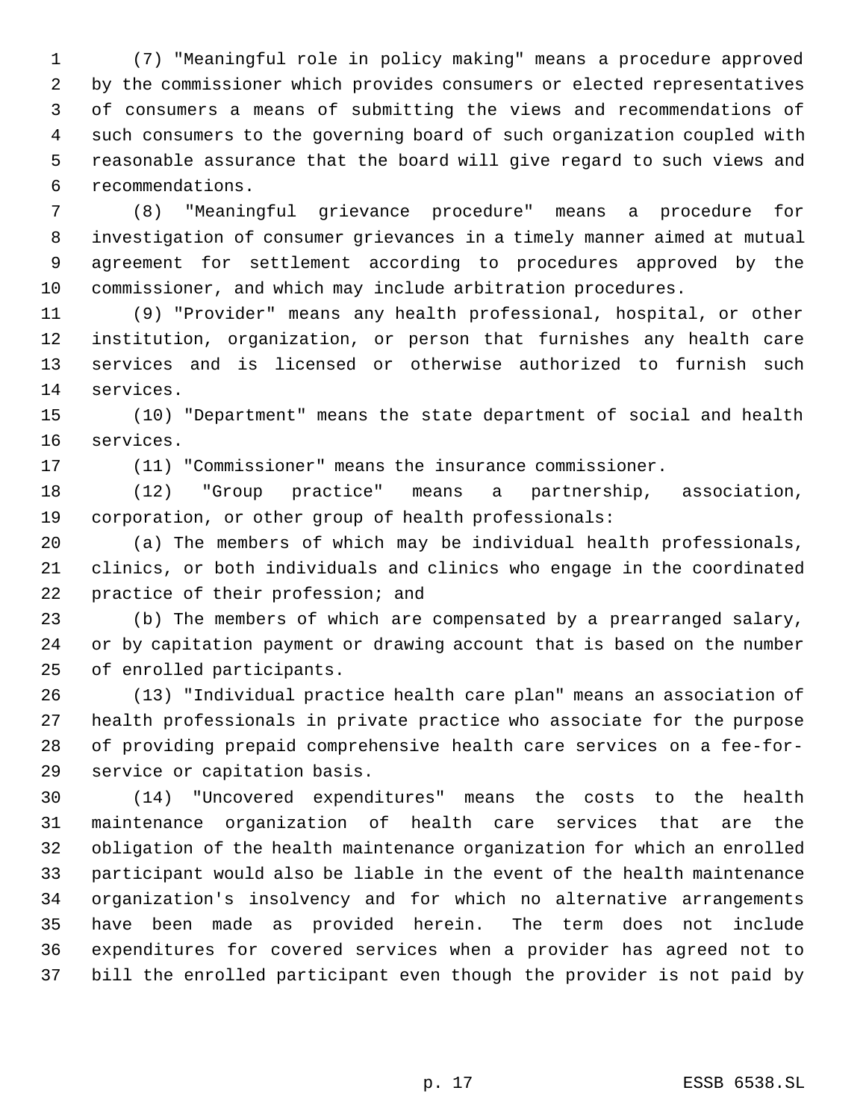(7) "Meaningful role in policy making" means a procedure approved by the commissioner which provides consumers or elected representatives of consumers a means of submitting the views and recommendations of such consumers to the governing board of such organization coupled with reasonable assurance that the board will give regard to such views and recommendations.

 (8) "Meaningful grievance procedure" means a procedure for investigation of consumer grievances in a timely manner aimed at mutual agreement for settlement according to procedures approved by the commissioner, and which may include arbitration procedures.

 (9) "Provider" means any health professional, hospital, or other institution, organization, or person that furnishes any health care services and is licensed or otherwise authorized to furnish such services.

 (10) "Department" means the state department of social and health services.

(11) "Commissioner" means the insurance commissioner.

 (12) "Group practice" means a partnership, association, corporation, or other group of health professionals:

 (a) The members of which may be individual health professionals, clinics, or both individuals and clinics who engage in the coordinated 22 practice of their profession; and

 (b) The members of which are compensated by a prearranged salary, or by capitation payment or drawing account that is based on the number of enrolled participants.

 (13) "Individual practice health care plan" means an association of health professionals in private practice who associate for the purpose of providing prepaid comprehensive health care services on a fee-for-service or capitation basis.

 (14) "Uncovered expenditures" means the costs to the health maintenance organization of health care services that are the obligation of the health maintenance organization for which an enrolled participant would also be liable in the event of the health maintenance organization's insolvency and for which no alternative arrangements have been made as provided herein. The term does not include expenditures for covered services when a provider has agreed not to bill the enrolled participant even though the provider is not paid by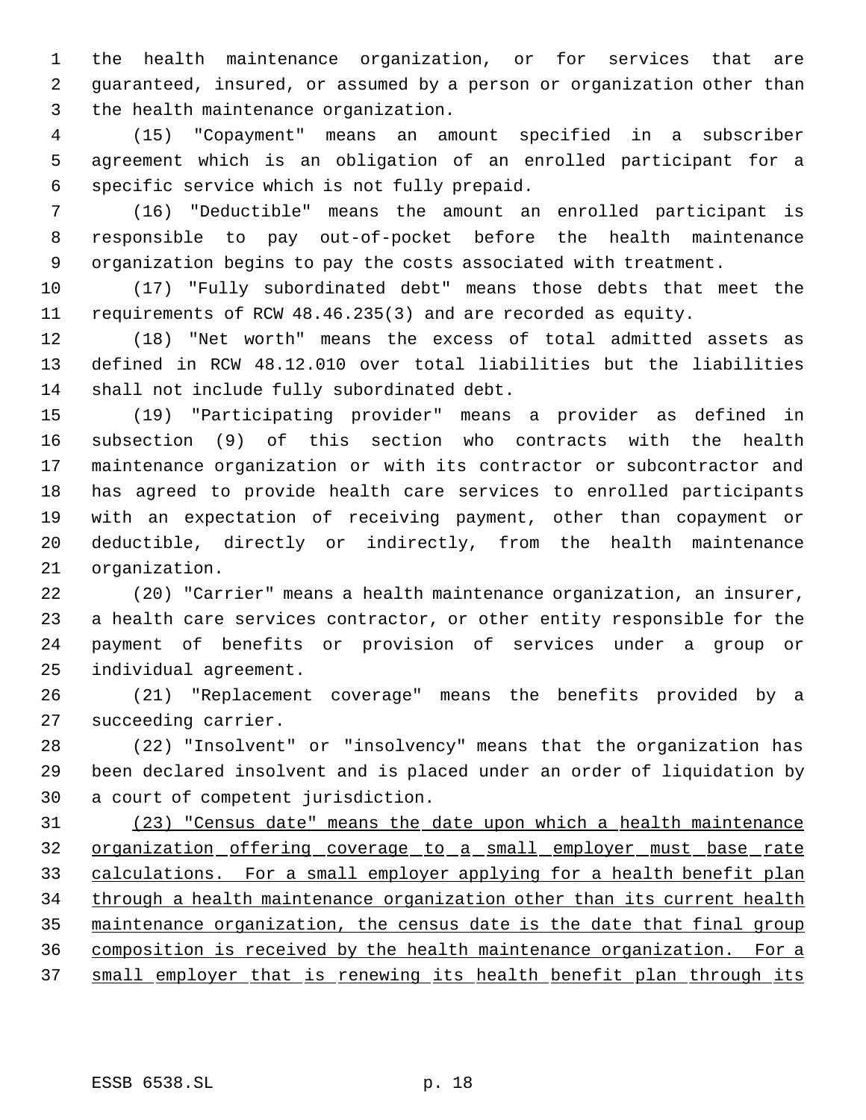the health maintenance organization, or for services that are guaranteed, insured, or assumed by a person or organization other than the health maintenance organization.

 (15) "Copayment" means an amount specified in a subscriber agreement which is an obligation of an enrolled participant for a specific service which is not fully prepaid.

 (16) "Deductible" means the amount an enrolled participant is responsible to pay out-of-pocket before the health maintenance organization begins to pay the costs associated with treatment.

 (17) "Fully subordinated debt" means those debts that meet the requirements of RCW 48.46.235(3) and are recorded as equity.

 (18) "Net worth" means the excess of total admitted assets as defined in RCW 48.12.010 over total liabilities but the liabilities shall not include fully subordinated debt.

 (19) "Participating provider" means a provider as defined in subsection (9) of this section who contracts with the health maintenance organization or with its contractor or subcontractor and has agreed to provide health care services to enrolled participants with an expectation of receiving payment, other than copayment or deductible, directly or indirectly, from the health maintenance organization.

 (20) "Carrier" means a health maintenance organization, an insurer, a health care services contractor, or other entity responsible for the payment of benefits or provision of services under a group or individual agreement.

 (21) "Replacement coverage" means the benefits provided by a succeeding carrier.

 (22) "Insolvent" or "insolvency" means that the organization has been declared insolvent and is placed under an order of liquidation by a court of competent jurisdiction.

 (23) "Census date" means the date upon which a health maintenance organization offering coverage to a small employer must base rate calculations. For a small employer applying for a health benefit plan 34 through a health maintenance organization other than its current health maintenance organization, the census date is the date that final group composition is received by the health maintenance organization. For a 37 small employer that is renewing its health benefit plan through its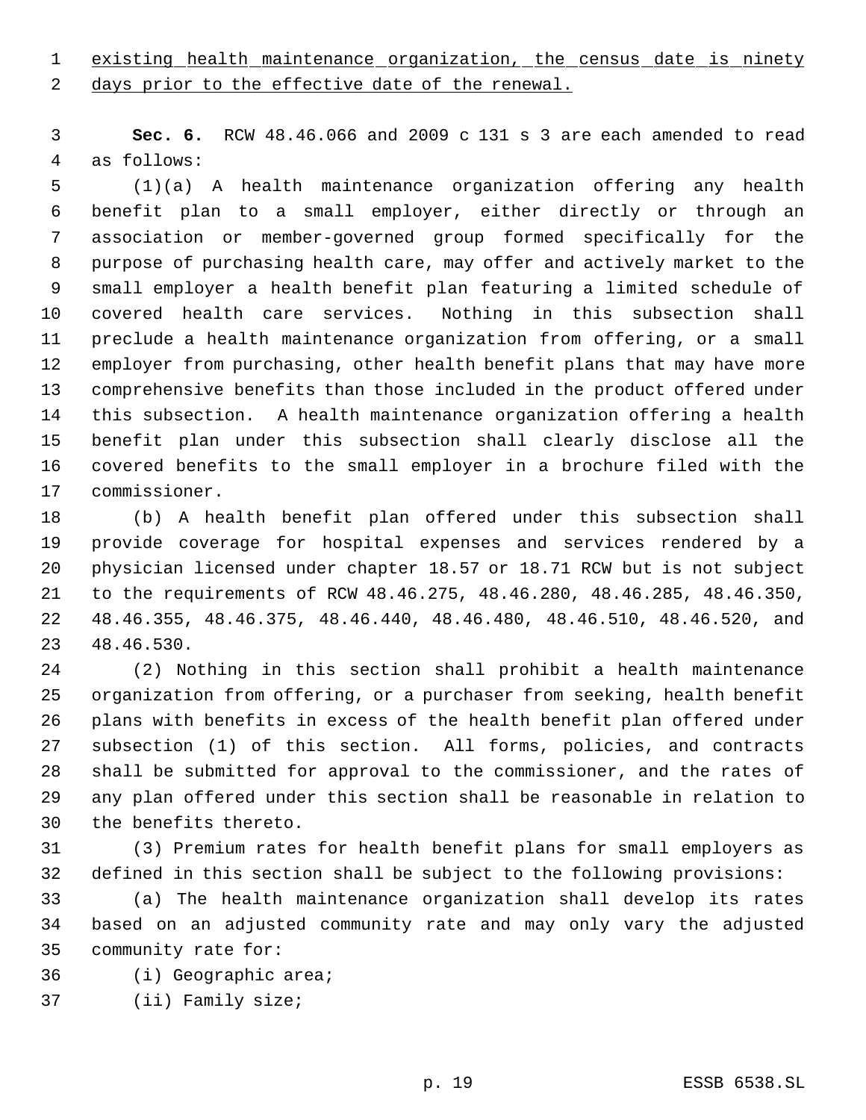existing health maintenance organization, the census date is ninety

2 days prior to the effective date of the renewal.

 **Sec. 6.** RCW 48.46.066 and 2009 c 131 s 3 are each amended to read as follows:

 (1)(a) A health maintenance organization offering any health benefit plan to a small employer, either directly or through an association or member-governed group formed specifically for the purpose of purchasing health care, may offer and actively market to the small employer a health benefit plan featuring a limited schedule of covered health care services. Nothing in this subsection shall preclude a health maintenance organization from offering, or a small employer from purchasing, other health benefit plans that may have more comprehensive benefits than those included in the product offered under this subsection. A health maintenance organization offering a health benefit plan under this subsection shall clearly disclose all the covered benefits to the small employer in a brochure filed with the commissioner.

 (b) A health benefit plan offered under this subsection shall provide coverage for hospital expenses and services rendered by a physician licensed under chapter 18.57 or 18.71 RCW but is not subject to the requirements of RCW 48.46.275, 48.46.280, 48.46.285, 48.46.350, 48.46.355, 48.46.375, 48.46.440, 48.46.480, 48.46.510, 48.46.520, and 48.46.530.

 (2) Nothing in this section shall prohibit a health maintenance organization from offering, or a purchaser from seeking, health benefit plans with benefits in excess of the health benefit plan offered under subsection (1) of this section. All forms, policies, and contracts shall be submitted for approval to the commissioner, and the rates of any plan offered under this section shall be reasonable in relation to the benefits thereto.

 (3) Premium rates for health benefit plans for small employers as defined in this section shall be subject to the following provisions:

 (a) The health maintenance organization shall develop its rates based on an adjusted community rate and may only vary the adjusted community rate for:

- (i) Geographic area;
- (ii) Family size;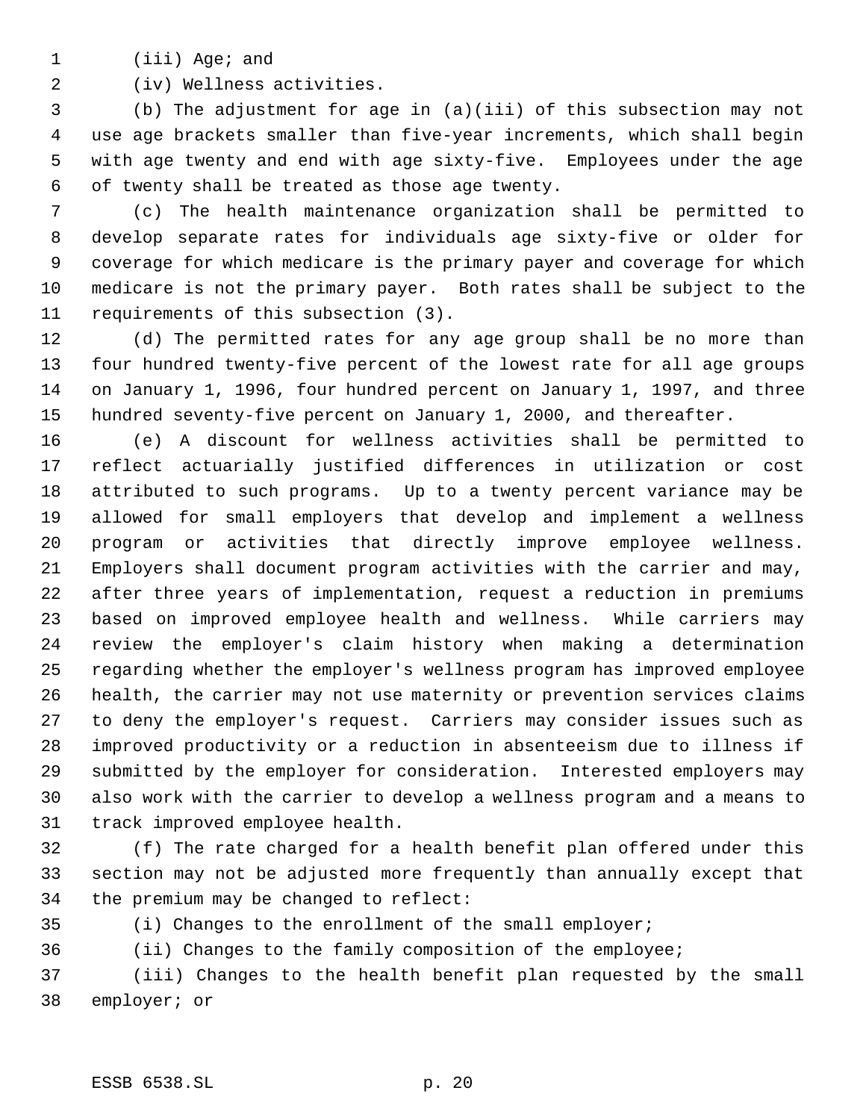(iii) Age; and

(iv) Wellness activities.

 (b) The adjustment for age in (a)(iii) of this subsection may not use age brackets smaller than five-year increments, which shall begin with age twenty and end with age sixty-five. Employees under the age of twenty shall be treated as those age twenty.

 (c) The health maintenance organization shall be permitted to develop separate rates for individuals age sixty-five or older for coverage for which medicare is the primary payer and coverage for which medicare is not the primary payer. Both rates shall be subject to the requirements of this subsection (3).

 (d) The permitted rates for any age group shall be no more than four hundred twenty-five percent of the lowest rate for all age groups on January 1, 1996, four hundred percent on January 1, 1997, and three hundred seventy-five percent on January 1, 2000, and thereafter.

 (e) A discount for wellness activities shall be permitted to reflect actuarially justified differences in utilization or cost attributed to such programs. Up to a twenty percent variance may be allowed for small employers that develop and implement a wellness program or activities that directly improve employee wellness. Employers shall document program activities with the carrier and may, after three years of implementation, request a reduction in premiums based on improved employee health and wellness. While carriers may review the employer's claim history when making a determination regarding whether the employer's wellness program has improved employee health, the carrier may not use maternity or prevention services claims to deny the employer's request. Carriers may consider issues such as improved productivity or a reduction in absenteeism due to illness if submitted by the employer for consideration. Interested employers may also work with the carrier to develop a wellness program and a means to track improved employee health.

 (f) The rate charged for a health benefit plan offered under this section may not be adjusted more frequently than annually except that the premium may be changed to reflect:

(i) Changes to the enrollment of the small employer;

(ii) Changes to the family composition of the employee;

 (iii) Changes to the health benefit plan requested by the small employer; or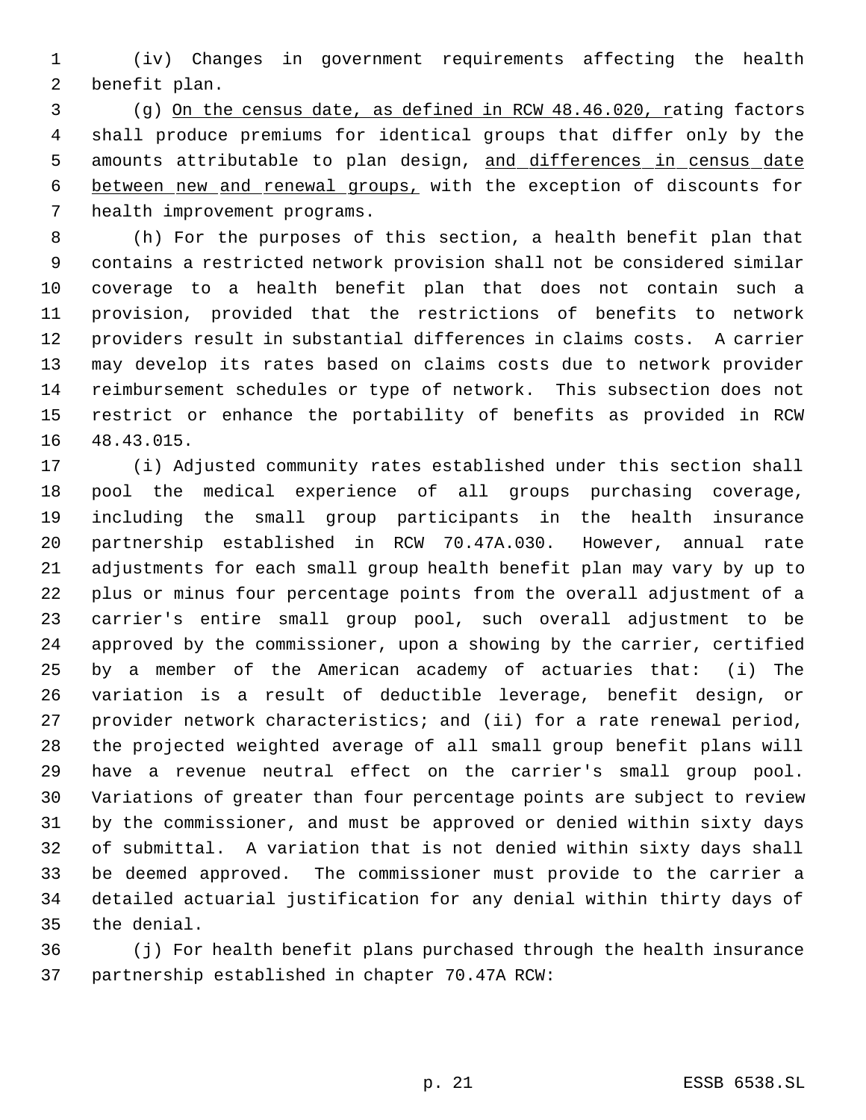(iv) Changes in government requirements affecting the health benefit plan.

 (g) On the census date, as defined in RCW 48.46.020, rating factors shall produce premiums for identical groups that differ only by the 5 amounts attributable to plan design, and differences in census date between new and renewal groups, with the exception of discounts for health improvement programs.

 (h) For the purposes of this section, a health benefit plan that contains a restricted network provision shall not be considered similar coverage to a health benefit plan that does not contain such a provision, provided that the restrictions of benefits to network providers result in substantial differences in claims costs. A carrier may develop its rates based on claims costs due to network provider reimbursement schedules or type of network. This subsection does not restrict or enhance the portability of benefits as provided in RCW 48.43.015.

 (i) Adjusted community rates established under this section shall pool the medical experience of all groups purchasing coverage, including the small group participants in the health insurance partnership established in RCW 70.47A.030. However, annual rate adjustments for each small group health benefit plan may vary by up to plus or minus four percentage points from the overall adjustment of a carrier's entire small group pool, such overall adjustment to be approved by the commissioner, upon a showing by the carrier, certified by a member of the American academy of actuaries that: (i) The variation is a result of deductible leverage, benefit design, or provider network characteristics; and (ii) for a rate renewal period, the projected weighted average of all small group benefit plans will have a revenue neutral effect on the carrier's small group pool. Variations of greater than four percentage points are subject to review by the commissioner, and must be approved or denied within sixty days of submittal. A variation that is not denied within sixty days shall be deemed approved. The commissioner must provide to the carrier a detailed actuarial justification for any denial within thirty days of the denial.

 (j) For health benefit plans purchased through the health insurance partnership established in chapter 70.47A RCW: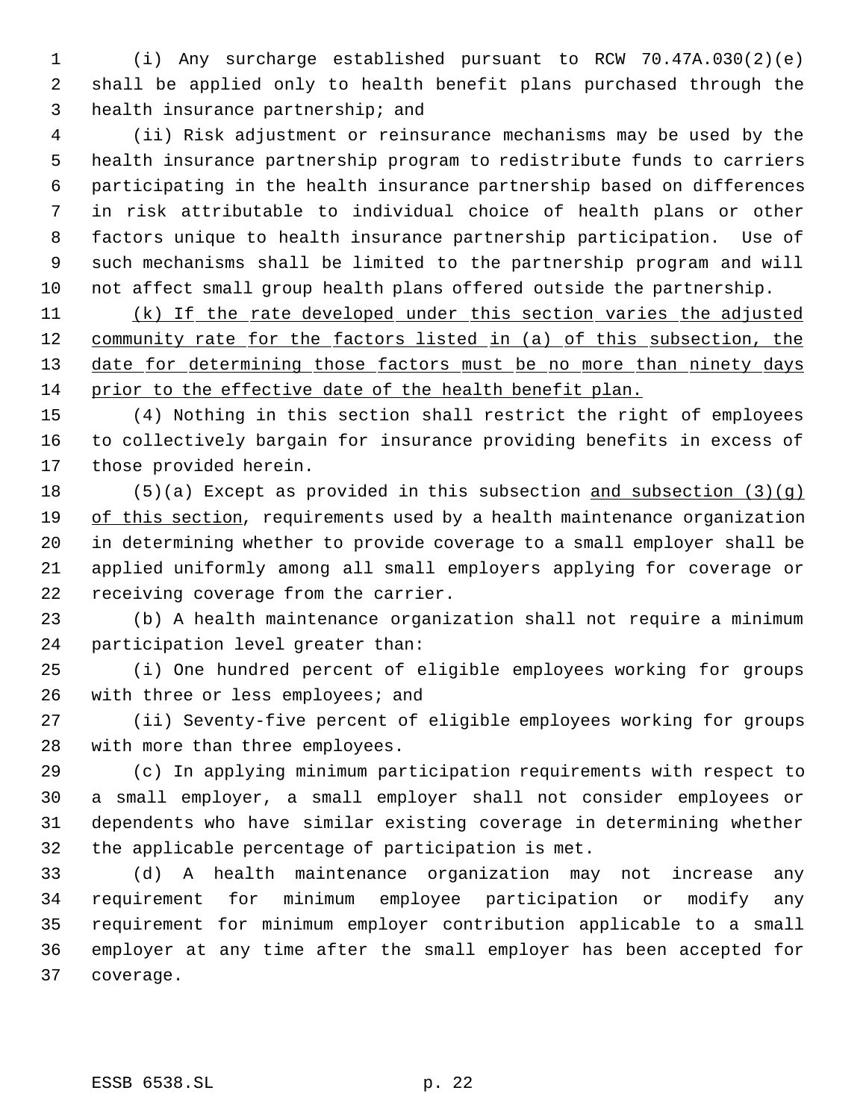(i) Any surcharge established pursuant to RCW 70.47A.030(2)(e) shall be applied only to health benefit plans purchased through the health insurance partnership; and

 (ii) Risk adjustment or reinsurance mechanisms may be used by the health insurance partnership program to redistribute funds to carriers participating in the health insurance partnership based on differences in risk attributable to individual choice of health plans or other factors unique to health insurance partnership participation. Use of such mechanisms shall be limited to the partnership program and will not affect small group health plans offered outside the partnership.

11 (k) If the rate developed under this section varies the adjusted 12 community rate for the factors listed in (a) of this subsection, the 13 date for determining those factors must be no more than ninety days prior to the effective date of the health benefit plan.

 (4) Nothing in this section shall restrict the right of employees to collectively bargain for insurance providing benefits in excess of those provided herein.

 (5)(a) Except as provided in this subsection and subsection (3)(g) 19 of this section, requirements used by a health maintenance organization in determining whether to provide coverage to a small employer shall be applied uniformly among all small employers applying for coverage or receiving coverage from the carrier.

 (b) A health maintenance organization shall not require a minimum participation level greater than:

 (i) One hundred percent of eligible employees working for groups 26 with three or less employees; and

 (ii) Seventy-five percent of eligible employees working for groups with more than three employees.

 (c) In applying minimum participation requirements with respect to a small employer, a small employer shall not consider employees or dependents who have similar existing coverage in determining whether the applicable percentage of participation is met.

 (d) A health maintenance organization may not increase any requirement for minimum employee participation or modify any requirement for minimum employer contribution applicable to a small employer at any time after the small employer has been accepted for coverage.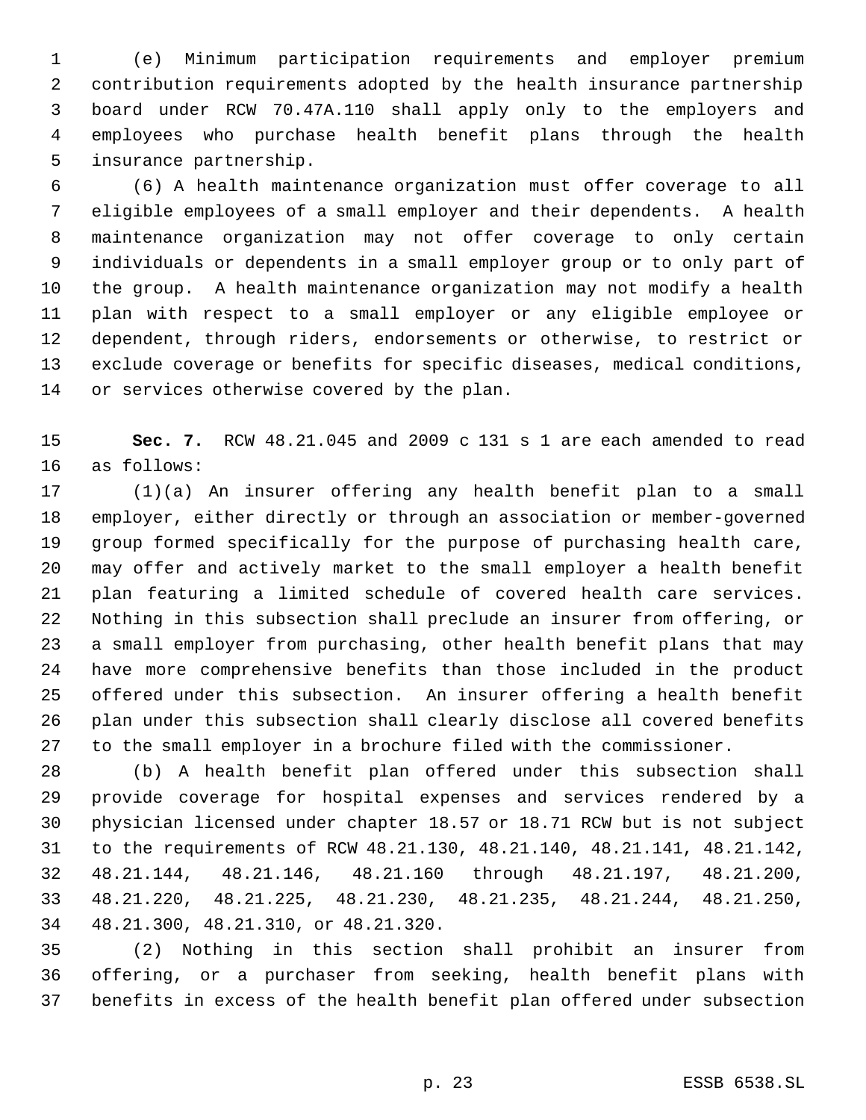(e) Minimum participation requirements and employer premium contribution requirements adopted by the health insurance partnership board under RCW 70.47A.110 shall apply only to the employers and employees who purchase health benefit plans through the health insurance partnership.

 (6) A health maintenance organization must offer coverage to all eligible employees of a small employer and their dependents. A health maintenance organization may not offer coverage to only certain individuals or dependents in a small employer group or to only part of the group. A health maintenance organization may not modify a health plan with respect to a small employer or any eligible employee or dependent, through riders, endorsements or otherwise, to restrict or exclude coverage or benefits for specific diseases, medical conditions, or services otherwise covered by the plan.

 **Sec. 7.** RCW 48.21.045 and 2009 c 131 s 1 are each amended to read as follows:

 (1)(a) An insurer offering any health benefit plan to a small employer, either directly or through an association or member-governed group formed specifically for the purpose of purchasing health care, may offer and actively market to the small employer a health benefit plan featuring a limited schedule of covered health care services. Nothing in this subsection shall preclude an insurer from offering, or a small employer from purchasing, other health benefit plans that may have more comprehensive benefits than those included in the product offered under this subsection. An insurer offering a health benefit plan under this subsection shall clearly disclose all covered benefits to the small employer in a brochure filed with the commissioner.

 (b) A health benefit plan offered under this subsection shall provide coverage for hospital expenses and services rendered by a physician licensed under chapter 18.57 or 18.71 RCW but is not subject to the requirements of RCW 48.21.130, 48.21.140, 48.21.141, 48.21.142, 48.21.144, 48.21.146, 48.21.160 through 48.21.197, 48.21.200, 48.21.220, 48.21.225, 48.21.230, 48.21.235, 48.21.244, 48.21.250, 48.21.300, 48.21.310, or 48.21.320.

 (2) Nothing in this section shall prohibit an insurer from offering, or a purchaser from seeking, health benefit plans with benefits in excess of the health benefit plan offered under subsection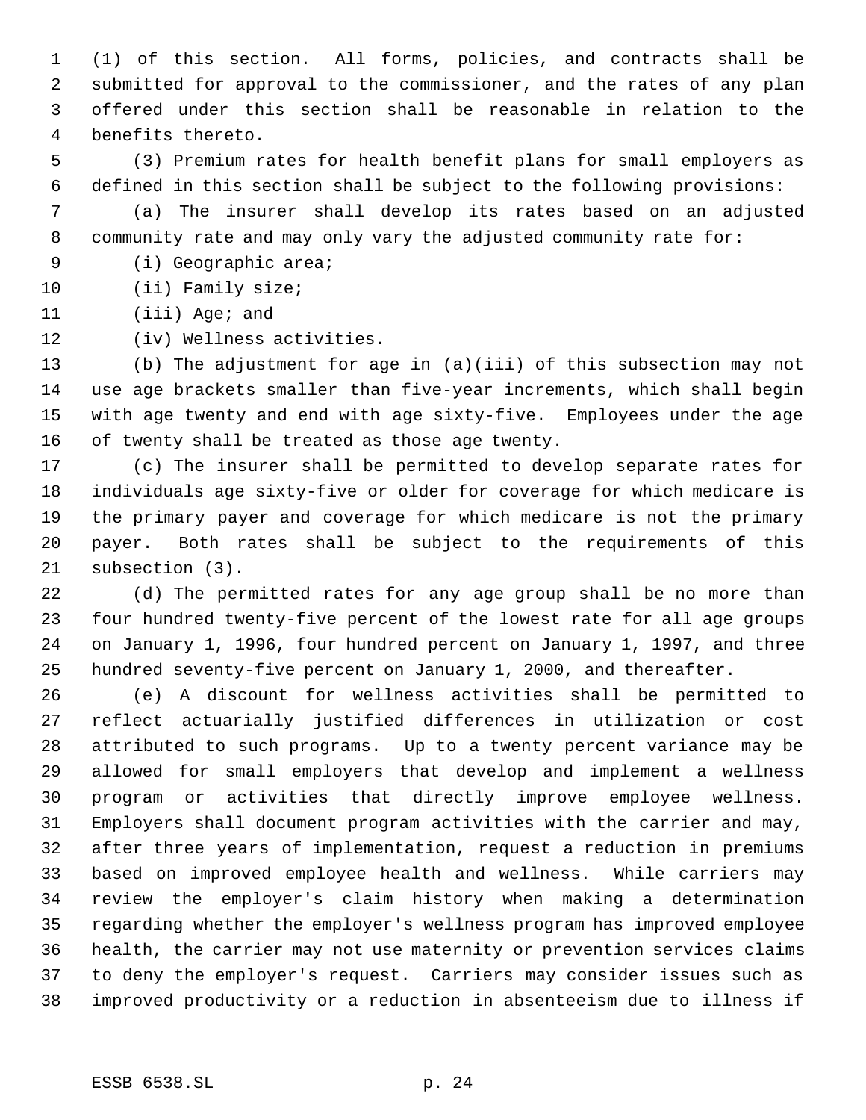(1) of this section. All forms, policies, and contracts shall be submitted for approval to the commissioner, and the rates of any plan offered under this section shall be reasonable in relation to the benefits thereto.

 (3) Premium rates for health benefit plans for small employers as defined in this section shall be subject to the following provisions:

 (a) The insurer shall develop its rates based on an adjusted community rate and may only vary the adjusted community rate for:

- (i) Geographic area;
- 10 (ii) Family size;
- (iii) Age; and
- (iv) Wellness activities.

 (b) The adjustment for age in (a)(iii) of this subsection may not use age brackets smaller than five-year increments, which shall begin with age twenty and end with age sixty-five. Employees under the age of twenty shall be treated as those age twenty.

 (c) The insurer shall be permitted to develop separate rates for individuals age sixty-five or older for coverage for which medicare is the primary payer and coverage for which medicare is not the primary payer. Both rates shall be subject to the requirements of this subsection (3).

 (d) The permitted rates for any age group shall be no more than four hundred twenty-five percent of the lowest rate for all age groups on January 1, 1996, four hundred percent on January 1, 1997, and three hundred seventy-five percent on January 1, 2000, and thereafter.

 (e) A discount for wellness activities shall be permitted to reflect actuarially justified differences in utilization or cost attributed to such programs. Up to a twenty percent variance may be allowed for small employers that develop and implement a wellness program or activities that directly improve employee wellness. Employers shall document program activities with the carrier and may, after three years of implementation, request a reduction in premiums based on improved employee health and wellness. While carriers may review the employer's claim history when making a determination regarding whether the employer's wellness program has improved employee health, the carrier may not use maternity or prevention services claims to deny the employer's request. Carriers may consider issues such as improved productivity or a reduction in absenteeism due to illness if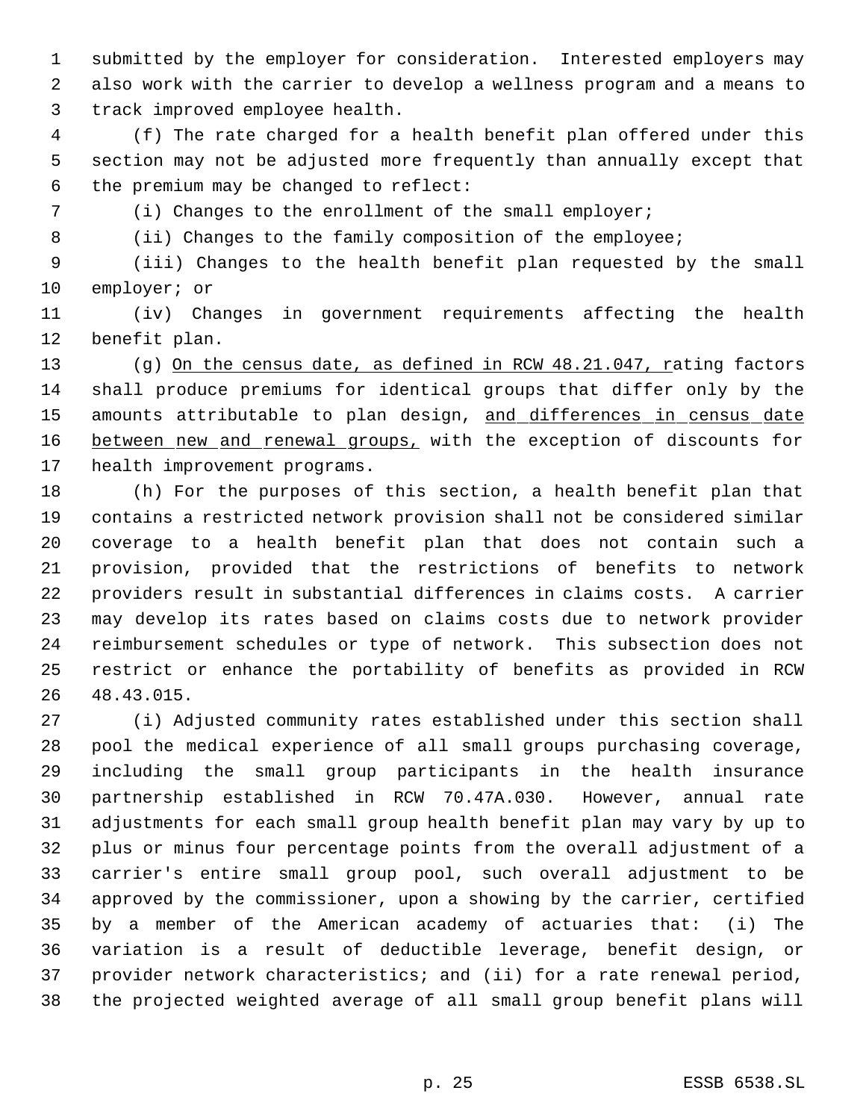submitted by the employer for consideration. Interested employers may also work with the carrier to develop a wellness program and a means to track improved employee health.

 (f) The rate charged for a health benefit plan offered under this section may not be adjusted more frequently than annually except that the premium may be changed to reflect:

(i) Changes to the enrollment of the small employer;

8 (ii) Changes to the family composition of the employee;

 (iii) Changes to the health benefit plan requested by the small employer; or

 (iv) Changes in government requirements affecting the health benefit plan.

13 (g) On the census date, as defined in RCW 48.21.047, rating factors shall produce premiums for identical groups that differ only by the 15 amounts attributable to plan design, and differences in census date 16 between new and renewal groups, with the exception of discounts for health improvement programs.

 (h) For the purposes of this section, a health benefit plan that contains a restricted network provision shall not be considered similar coverage to a health benefit plan that does not contain such a provision, provided that the restrictions of benefits to network providers result in substantial differences in claims costs. A carrier may develop its rates based on claims costs due to network provider reimbursement schedules or type of network. This subsection does not restrict or enhance the portability of benefits as provided in RCW 48.43.015.

 (i) Adjusted community rates established under this section shall pool the medical experience of all small groups purchasing coverage, including the small group participants in the health insurance partnership established in RCW 70.47A.030. However, annual rate adjustments for each small group health benefit plan may vary by up to plus or minus four percentage points from the overall adjustment of a carrier's entire small group pool, such overall adjustment to be approved by the commissioner, upon a showing by the carrier, certified by a member of the American academy of actuaries that: (i) The variation is a result of deductible leverage, benefit design, or provider network characteristics; and (ii) for a rate renewal period, the projected weighted average of all small group benefit plans will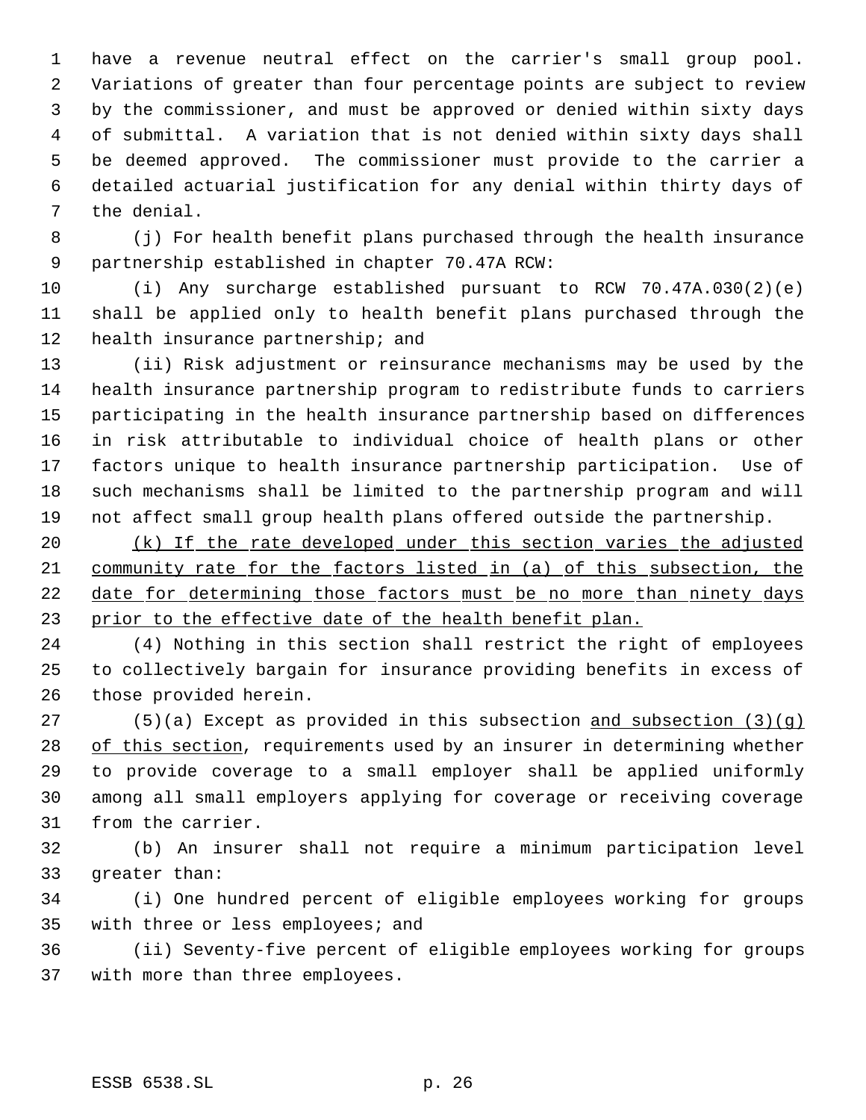have a revenue neutral effect on the carrier's small group pool. Variations of greater than four percentage points are subject to review by the commissioner, and must be approved or denied within sixty days of submittal. A variation that is not denied within sixty days shall be deemed approved. The commissioner must provide to the carrier a detailed actuarial justification for any denial within thirty days of the denial.

 (j) For health benefit plans purchased through the health insurance partnership established in chapter 70.47A RCW:

 (i) Any surcharge established pursuant to RCW 70.47A.030(2)(e) shall be applied only to health benefit plans purchased through the health insurance partnership; and

 (ii) Risk adjustment or reinsurance mechanisms may be used by the health insurance partnership program to redistribute funds to carriers participating in the health insurance partnership based on differences in risk attributable to individual choice of health plans or other factors unique to health insurance partnership participation. Use of such mechanisms shall be limited to the partnership program and will not affect small group health plans offered outside the partnership.

20 (k) If the rate developed under this section varies the adjusted community rate for the factors listed in (a) of this subsection, the 22 date for determining those factors must be no more than ninety days 23 prior to the effective date of the health benefit plan.

 (4) Nothing in this section shall restrict the right of employees to collectively bargain for insurance providing benefits in excess of those provided herein.

27 (5)(a) Except as provided in this subsection  $\underline{\text{and subsection (3)(q)}}$ 28 of this section, requirements used by an insurer in determining whether to provide coverage to a small employer shall be applied uniformly among all small employers applying for coverage or receiving coverage from the carrier.

 (b) An insurer shall not require a minimum participation level greater than:

 (i) One hundred percent of eligible employees working for groups with three or less employees; and

 (ii) Seventy-five percent of eligible employees working for groups with more than three employees.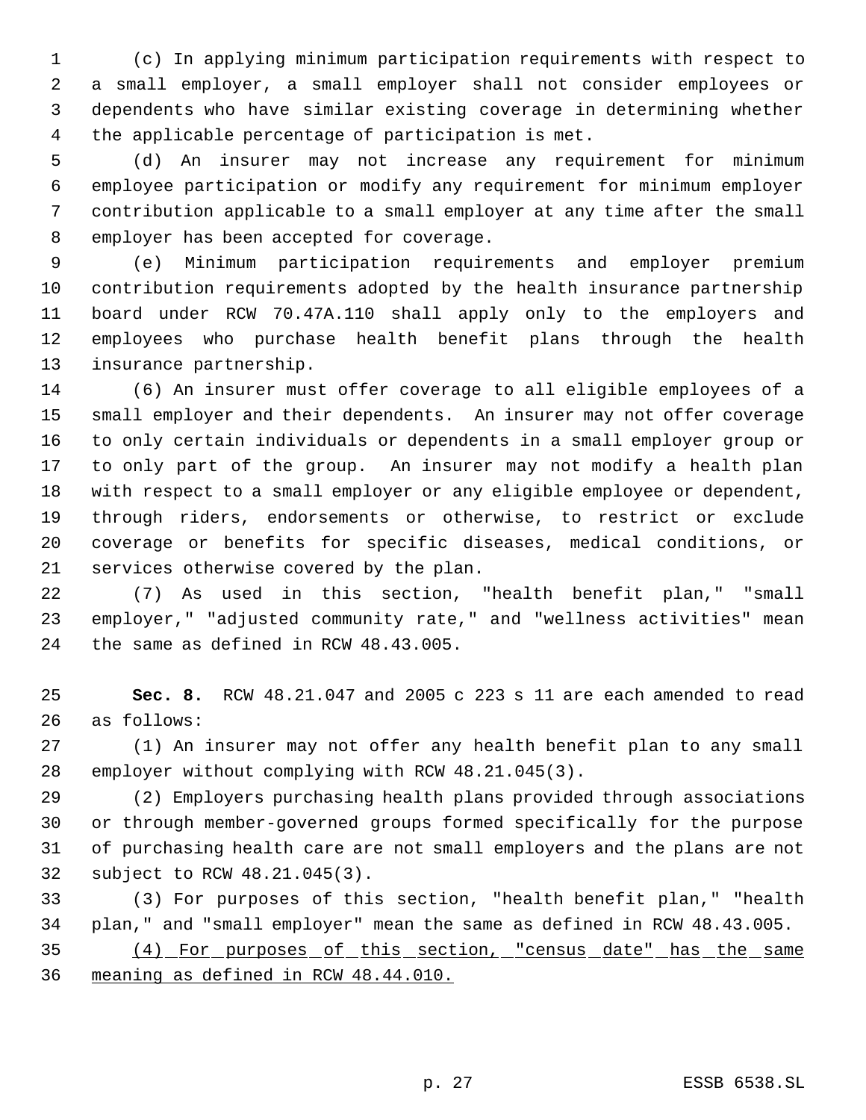(c) In applying minimum participation requirements with respect to a small employer, a small employer shall not consider employees or dependents who have similar existing coverage in determining whether the applicable percentage of participation is met.

 (d) An insurer may not increase any requirement for minimum employee participation or modify any requirement for minimum employer contribution applicable to a small employer at any time after the small employer has been accepted for coverage.

 (e) Minimum participation requirements and employer premium contribution requirements adopted by the health insurance partnership board under RCW 70.47A.110 shall apply only to the employers and employees who purchase health benefit plans through the health insurance partnership.

 (6) An insurer must offer coverage to all eligible employees of a small employer and their dependents. An insurer may not offer coverage to only certain individuals or dependents in a small employer group or to only part of the group. An insurer may not modify a health plan with respect to a small employer or any eligible employee or dependent, through riders, endorsements or otherwise, to restrict or exclude coverage or benefits for specific diseases, medical conditions, or services otherwise covered by the plan.

 (7) As used in this section, "health benefit plan," "small employer," "adjusted community rate," and "wellness activities" mean the same as defined in RCW 48.43.005.

 **Sec. 8.** RCW 48.21.047 and 2005 c 223 s 11 are each amended to read as follows:

 (1) An insurer may not offer any health benefit plan to any small employer without complying with RCW 48.21.045(3).

 (2) Employers purchasing health plans provided through associations or through member-governed groups formed specifically for the purpose of purchasing health care are not small employers and the plans are not subject to RCW 48.21.045(3).

 (3) For purposes of this section, "health benefit plan," "health plan," and "small employer" mean the same as defined in RCW 48.43.005.

 (4) For purposes of this section, "census date" has the same meaning as defined in RCW 48.44.010.